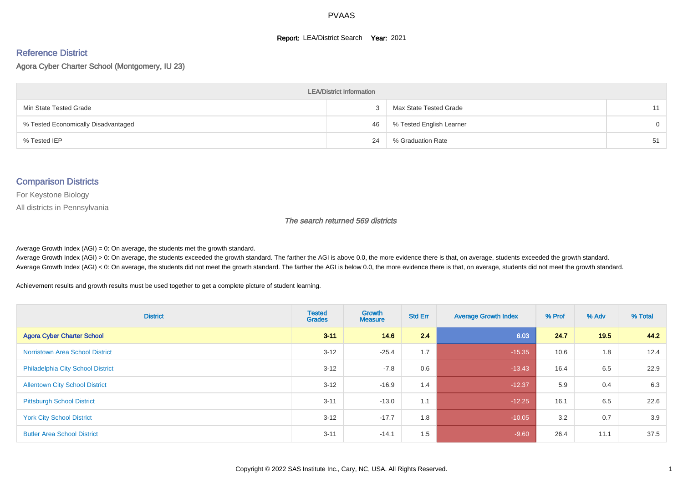#### **Report: LEA/District Search Year: 2021**

#### Reference District

Agora Cyber Charter School (Montgomery, IU 23)

| <b>LEA/District Information</b>     |    |                          |          |  |  |  |  |  |  |  |
|-------------------------------------|----|--------------------------|----------|--|--|--|--|--|--|--|
| Min State Tested Grade              |    | Max State Tested Grade   | 11       |  |  |  |  |  |  |  |
| % Tested Economically Disadvantaged | 46 | % Tested English Learner | $\Omega$ |  |  |  |  |  |  |  |
| % Tested IEP                        | 24 | % Graduation Rate        | 51       |  |  |  |  |  |  |  |

#### Comparison Districts

For Keystone Biology

All districts in Pennsylvania

The search returned 569 districts

Average Growth Index  $(AGI) = 0$ : On average, the students met the growth standard.

Average Growth Index (AGI) > 0: On average, the students exceeded the growth standard. The farther the AGI is above 0.0, the more evidence there is that, on average, students exceeded the growth standard. Average Growth Index (AGI) < 0: On average, the students did not meet the growth standard. The farther the AGI is below 0.0, the more evidence there is that, on average, students did not meet the growth standard.

Achievement results and growth results must be used together to get a complete picture of student learning.

| <b>District</b>                          | <b>Tested</b><br><b>Grades</b> | <b>Growth</b><br><b>Measure</b> | <b>Std Err</b> | <b>Average Growth Index</b> | % Prof | % Adv | % Total |
|------------------------------------------|--------------------------------|---------------------------------|----------------|-----------------------------|--------|-------|---------|
| <b>Agora Cyber Charter School</b>        | $3 - 11$                       | 14.6                            | 2.4            | 6.03                        | 24.7   | 19.5  | 44.2    |
| <b>Norristown Area School District</b>   | $3 - 12$                       | $-25.4$                         | 1.7            | $-15.35$                    | 10.6   | 1.8   | 12.4    |
| <b>Philadelphia City School District</b> | $3 - 12$                       | $-7.8$                          | 0.6            | $-13.43$                    | 16.4   | 6.5   | 22.9    |
| <b>Allentown City School District</b>    | $3 - 12$                       | $-16.9$                         | 1.4            | $-12.37$                    | 5.9    | 0.4   | 6.3     |
| <b>Pittsburgh School District</b>        | $3 - 11$                       | $-13.0$                         | 1.1            | $-12.25$                    | 16.1   | 6.5   | 22.6    |
| <b>York City School District</b>         | $3 - 12$                       | $-17.7$                         | 1.8            | $-10.05$                    | 3.2    | 0.7   | 3.9     |
| <b>Butler Area School District</b>       | $3 - 11$                       | $-14.1$                         | 1.5            | $-9.60$                     | 26.4   | 11.1  | 37.5    |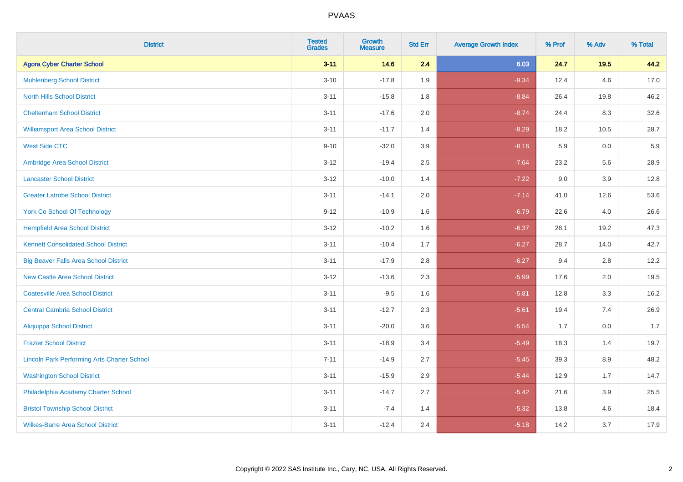| <b>District</b>                                    | <b>Tested</b><br><b>Grades</b> | <b>Growth</b><br><b>Measure</b> | <b>Std Err</b> | <b>Average Growth Index</b> | % Prof | % Adv   | % Total |
|----------------------------------------------------|--------------------------------|---------------------------------|----------------|-----------------------------|--------|---------|---------|
| <b>Agora Cyber Charter School</b>                  | $3 - 11$                       | 14.6                            | 2.4            | 6.03                        | 24.7   | 19.5    | 44.2    |
| <b>Muhlenberg School District</b>                  | $3 - 10$                       | $-17.8$                         | 1.9            | $-9.34$                     | 12.4   | 4.6     | 17.0    |
| <b>North Hills School District</b>                 | $3 - 11$                       | $-15.8$                         | 1.8            | $-8.84$                     | 26.4   | 19.8    | 46.2    |
| <b>Cheltenham School District</b>                  | $3 - 11$                       | $-17.6$                         | 2.0            | $-8.74$                     | 24.4   | 8.3     | 32.6    |
| <b>Williamsport Area School District</b>           | $3 - 11$                       | $-11.7$                         | 1.4            | $-8.29$                     | 18.2   | 10.5    | 28.7    |
| <b>West Side CTC</b>                               | $9 - 10$                       | $-32.0$                         | 3.9            | $-8.16$                     | 5.9    | 0.0     | 5.9     |
| Ambridge Area School District                      | $3 - 12$                       | $-19.4$                         | 2.5            | $-7.64$                     | 23.2   | 5.6     | 28.9    |
| <b>Lancaster School District</b>                   | $3 - 12$                       | $-10.0$                         | 1.4            | $-7.22$                     | 9.0    | 3.9     | 12.8    |
| <b>Greater Latrobe School District</b>             | $3 - 11$                       | $-14.1$                         | 2.0            | $-7.14$                     | 41.0   | 12.6    | 53.6    |
| <b>York Co School Of Technology</b>                | $9 - 12$                       | $-10.9$                         | 1.6            | $-6.79$                     | 22.6   | $4.0\,$ | 26.6    |
| <b>Hempfield Area School District</b>              | $3 - 12$                       | $-10.2$                         | 1.6            | $-6.37$                     | 28.1   | 19.2    | 47.3    |
| <b>Kennett Consolidated School District</b>        | $3 - 11$                       | $-10.4$                         | 1.7            | $-6.27$                     | 28.7   | 14.0    | 42.7    |
| <b>Big Beaver Falls Area School District</b>       | $3 - 11$                       | $-17.9$                         | 2.8            | $-6.27$                     | 9.4    | 2.8     | 12.2    |
| <b>New Castle Area School District</b>             | $3 - 12$                       | $-13.6$                         | 2.3            | $-5.99$                     | 17.6   | 2.0     | 19.5    |
| <b>Coatesville Area School District</b>            | $3 - 11$                       | $-9.5$                          | 1.6            | $-5.81$                     | 12.8   | 3.3     | 16.2    |
| <b>Central Cambria School District</b>             | $3 - 11$                       | $-12.7$                         | 2.3            | $-5.61$                     | 19.4   | 7.4     | 26.9    |
| <b>Aliquippa School District</b>                   | $3 - 11$                       | $-20.0$                         | 3.6            | $-5.54$                     | 1.7    | 0.0     | 1.7     |
| <b>Frazier School District</b>                     | $3 - 11$                       | $-18.9$                         | 3.4            | $-5.49$                     | 18.3   | 1.4     | 19.7    |
| <b>Lincoln Park Performing Arts Charter School</b> | $7 - 11$                       | $-14.9$                         | 2.7            | $-5.45$                     | 39.3   | 8.9     | 48.2    |
| <b>Washington School District</b>                  | $3 - 11$                       | $-15.9$                         | 2.9            | $-5.44$                     | 12.9   | 1.7     | 14.7    |
| Philadelphia Academy Charter School                | $3 - 11$                       | $-14.7$                         | 2.7            | $-5.42$                     | 21.6   | 3.9     | 25.5    |
| <b>Bristol Township School District</b>            | $3 - 11$                       | $-7.4$                          | 1.4            | $-5.32$                     | 13.8   | 4.6     | 18.4    |
| <b>Wilkes-Barre Area School District</b>           | $3 - 11$                       | $-12.4$                         | 2.4            | $-5.18$                     | 14.2   | 3.7     | 17.9    |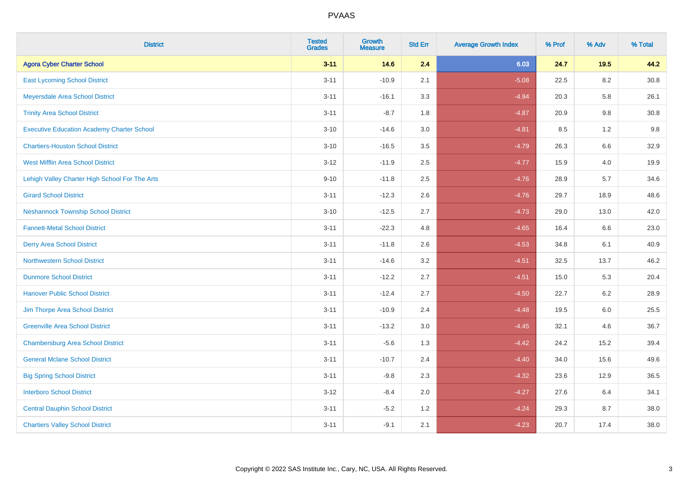| <b>District</b>                                   | <b>Tested</b><br><b>Grades</b> | <b>Growth</b><br><b>Measure</b> | <b>Std Err</b> | <b>Average Growth Index</b> | % Prof | % Adv   | % Total  |
|---------------------------------------------------|--------------------------------|---------------------------------|----------------|-----------------------------|--------|---------|----------|
| <b>Agora Cyber Charter School</b>                 | $3 - 11$                       | 14.6                            | 2.4            | 6.03                        | 24.7   | $19.5$  | 44.2     |
| <b>East Lycoming School District</b>              | $3 - 11$                       | $-10.9$                         | 2.1            | $-5.08$                     | 22.5   | 8.2     | 30.8     |
| Meyersdale Area School District                   | $3 - 11$                       | $-16.1$                         | 3.3            | $-4.94$                     | 20.3   | 5.8     | 26.1     |
| <b>Trinity Area School District</b>               | $3 - 11$                       | $-8.7$                          | 1.8            | $-4.87$                     | 20.9   | $9.8\,$ | $30.8\,$ |
| <b>Executive Education Academy Charter School</b> | $3 - 10$                       | $-14.6$                         | 3.0            | $-4.81$                     | 8.5    | 1.2     | 9.8      |
| <b>Chartiers-Houston School District</b>          | $3 - 10$                       | $-16.5$                         | 3.5            | $-4.79$                     | 26.3   | $6.6\,$ | 32.9     |
| West Mifflin Area School District                 | $3 - 12$                       | $-11.9$                         | 2.5            | $-4.77$                     | 15.9   | 4.0     | 19.9     |
| Lehigh Valley Charter High School For The Arts    | $9 - 10$                       | $-11.8$                         | 2.5            | $-4.76$                     | 28.9   | 5.7     | 34.6     |
| <b>Girard School District</b>                     | $3 - 11$                       | $-12.3$                         | 2.6            | $-4.76$                     | 29.7   | 18.9    | 48.6     |
| <b>Neshannock Township School District</b>        | $3 - 10$                       | $-12.5$                         | 2.7            | $-4.73$                     | 29.0   | 13.0    | 42.0     |
| <b>Fannett-Metal School District</b>              | $3 - 11$                       | $-22.3$                         | 4.8            | $-4.65$                     | 16.4   | 6.6     | 23.0     |
| <b>Derry Area School District</b>                 | $3 - 11$                       | $-11.8$                         | 2.6            | $-4.53$                     | 34.8   | 6.1     | 40.9     |
| <b>Northwestern School District</b>               | $3 - 11$                       | $-14.6$                         | 3.2            | $-4.51$                     | 32.5   | 13.7    | 46.2     |
| <b>Dunmore School District</b>                    | $3 - 11$                       | $-12.2$                         | 2.7            | $-4.51$                     | 15.0   | 5.3     | 20.4     |
| <b>Hanover Public School District</b>             | $3 - 11$                       | $-12.4$                         | 2.7            | $-4.50$                     | 22.7   | 6.2     | 28.9     |
| Jim Thorpe Area School District                   | $3 - 11$                       | $-10.9$                         | 2.4            | $-4.48$                     | 19.5   | 6.0     | 25.5     |
| <b>Greenville Area School District</b>            | $3 - 11$                       | $-13.2$                         | 3.0            | $-4.45$                     | 32.1   | 4.6     | 36.7     |
| <b>Chambersburg Area School District</b>          | $3 - 11$                       | $-5.6$                          | 1.3            | $-4.42$                     | 24.2   | 15.2    | 39.4     |
| <b>General Mclane School District</b>             | $3 - 11$                       | $-10.7$                         | 2.4            | $-4.40$                     | 34.0   | 15.6    | 49.6     |
| <b>Big Spring School District</b>                 | $3 - 11$                       | $-9.8$                          | 2.3            | $-4.32$                     | 23.6   | 12.9    | 36.5     |
| <b>Interboro School District</b>                  | $3 - 12$                       | $-8.4$                          | 2.0            | $-4.27$                     | 27.6   | 6.4     | 34.1     |
| <b>Central Dauphin School District</b>            | $3 - 11$                       | $-5.2$                          | 1.2            | $-4.24$                     | 29.3   | 8.7     | 38.0     |
| <b>Chartiers Valley School District</b>           | $3 - 11$                       | $-9.1$                          | 2.1            | $-4.23$                     | 20.7   | 17.4    | 38.0     |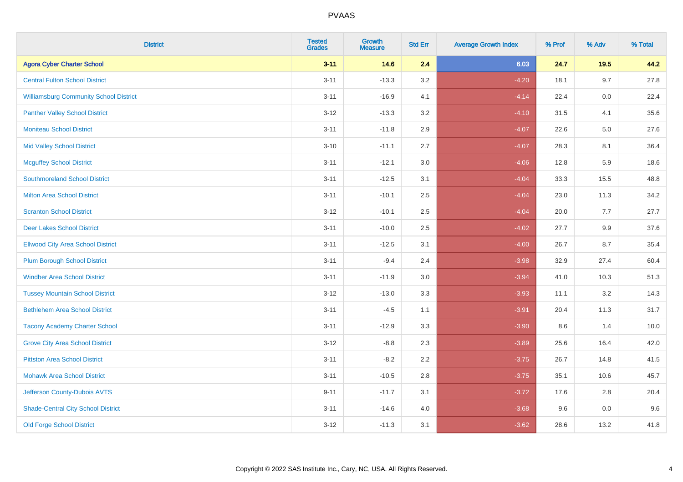| <b>District</b>                               | <b>Tested</b><br><b>Grades</b> | Growth<br><b>Measure</b> | <b>Std Err</b> | <b>Average Growth Index</b> | % Prof | % Adv  | % Total |
|-----------------------------------------------|--------------------------------|--------------------------|----------------|-----------------------------|--------|--------|---------|
| <b>Agora Cyber Charter School</b>             | $3 - 11$                       | 14.6                     | 2.4            | 6.03                        | 24.7   | $19.5$ | 44.2    |
| <b>Central Fulton School District</b>         | $3 - 11$                       | $-13.3$                  | 3.2            | $-4.20$                     | 18.1   | 9.7    | 27.8    |
| <b>Williamsburg Community School District</b> | $3 - 11$                       | $-16.9$                  | 4.1            | $-4.14$                     | 22.4   | 0.0    | 22.4    |
| <b>Panther Valley School District</b>         | $3 - 12$                       | $-13.3$                  | 3.2            | $-4.10$                     | 31.5   | 4.1    | 35.6    |
| <b>Moniteau School District</b>               | $3 - 11$                       | $-11.8$                  | 2.9            | $-4.07$                     | 22.6   | 5.0    | 27.6    |
| <b>Mid Valley School District</b>             | $3 - 10$                       | $-11.1$                  | 2.7            | $-4.07$                     | 28.3   | 8.1    | 36.4    |
| <b>Mcguffey School District</b>               | $3 - 11$                       | $-12.1$                  | 3.0            | $-4.06$                     | 12.8   | 5.9    | 18.6    |
| <b>Southmoreland School District</b>          | $3 - 11$                       | $-12.5$                  | 3.1            | $-4.04$                     | 33.3   | 15.5   | 48.8    |
| <b>Milton Area School District</b>            | $3 - 11$                       | $-10.1$                  | 2.5            | $-4.04$                     | 23.0   | 11.3   | 34.2    |
| <b>Scranton School District</b>               | $3 - 12$                       | $-10.1$                  | 2.5            | $-4.04$                     | 20.0   | 7.7    | 27.7    |
| <b>Deer Lakes School District</b>             | $3 - 11$                       | $-10.0$                  | 2.5            | $-4.02$                     | 27.7   | 9.9    | 37.6    |
| <b>Ellwood City Area School District</b>      | $3 - 11$                       | $-12.5$                  | 3.1            | $-4.00$                     | 26.7   | 8.7    | 35.4    |
| <b>Plum Borough School District</b>           | $3 - 11$                       | $-9.4$                   | 2.4            | $-3.98$                     | 32.9   | 27.4   | 60.4    |
| <b>Windber Area School District</b>           | $3 - 11$                       | $-11.9$                  | 3.0            | $-3.94$                     | 41.0   | 10.3   | 51.3    |
| <b>Tussey Mountain School District</b>        | $3 - 12$                       | $-13.0$                  | 3.3            | $-3.93$                     | 11.1   | 3.2    | 14.3    |
| <b>Bethlehem Area School District</b>         | $3 - 11$                       | $-4.5$                   | 1.1            | $-3.91$                     | 20.4   | 11.3   | 31.7    |
| <b>Tacony Academy Charter School</b>          | $3 - 11$                       | $-12.9$                  | 3.3            | $-3.90$                     | 8.6    | 1.4    | 10.0    |
| <b>Grove City Area School District</b>        | $3-12$                         | $-8.8$                   | 2.3            | $-3.89$                     | 25.6   | 16.4   | 42.0    |
| <b>Pittston Area School District</b>          | $3 - 11$                       | $-8.2$                   | 2.2            | $-3.75$                     | 26.7   | 14.8   | 41.5    |
| <b>Mohawk Area School District</b>            | $3 - 11$                       | $-10.5$                  | 2.8            | $-3.75$                     | 35.1   | 10.6   | 45.7    |
| Jefferson County-Dubois AVTS                  | $9 - 11$                       | $-11.7$                  | 3.1            | $-3.72$                     | 17.6   | 2.8    | 20.4    |
| <b>Shade-Central City School District</b>     | $3 - 11$                       | $-14.6$                  | 4.0            | $-3.68$                     | 9.6    | 0.0    | 9.6     |
| <b>Old Forge School District</b>              | $3 - 12$                       | $-11.3$                  | 3.1            | $-3.62$                     | 28.6   | 13.2   | 41.8    |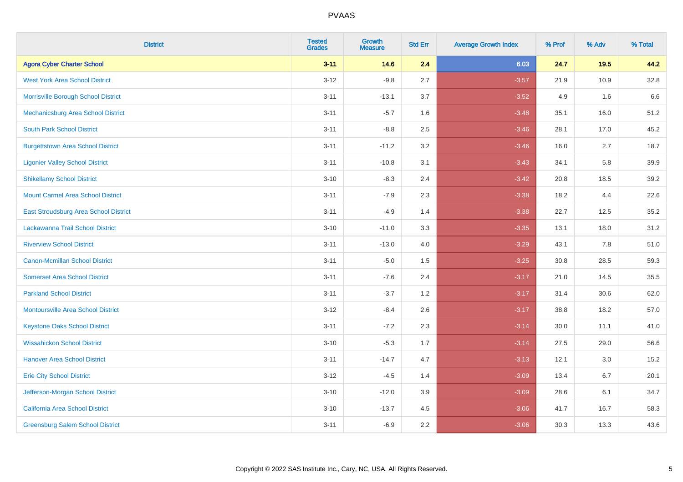| <b>District</b>                              | <b>Tested</b><br><b>Grades</b> | <b>Growth</b><br><b>Measure</b> | <b>Std Err</b> | <b>Average Growth Index</b> | % Prof | % Adv | % Total |
|----------------------------------------------|--------------------------------|---------------------------------|----------------|-----------------------------|--------|-------|---------|
| <b>Agora Cyber Charter School</b>            | $3 - 11$                       | 14.6                            | 2.4            | 6.03                        | 24.7   | 19.5  | 44.2    |
| <b>West York Area School District</b>        | $3 - 12$                       | $-9.8$                          | 2.7            | $-3.57$                     | 21.9   | 10.9  | 32.8    |
| Morrisville Borough School District          | $3 - 11$                       | $-13.1$                         | 3.7            | $-3.52$                     | 4.9    | 1.6   | 6.6     |
| Mechanicsburg Area School District           | $3 - 11$                       | $-5.7$                          | 1.6            | $-3.48$                     | 35.1   | 16.0  | 51.2    |
| <b>South Park School District</b>            | $3 - 11$                       | $-8.8$                          | 2.5            | $-3.46$                     | 28.1   | 17.0  | 45.2    |
| <b>Burgettstown Area School District</b>     | $3 - 11$                       | $-11.2$                         | 3.2            | $-3.46$                     | 16.0   | 2.7   | 18.7    |
| <b>Ligonier Valley School District</b>       | $3 - 11$                       | $-10.8$                         | 3.1            | $-3.43$                     | 34.1   | 5.8   | 39.9    |
| <b>Shikellamy School District</b>            | $3 - 10$                       | $-8.3$                          | 2.4            | $-3.42$                     | 20.8   | 18.5  | 39.2    |
| <b>Mount Carmel Area School District</b>     | $3 - 11$                       | $-7.9$                          | 2.3            | $-3.38$                     | 18.2   | 4.4   | 22.6    |
| <b>East Stroudsburg Area School District</b> | $3 - 11$                       | $-4.9$                          | 1.4            | $-3.38$                     | 22.7   | 12.5  | 35.2    |
| Lackawanna Trail School District             | $3 - 10$                       | $-11.0$                         | 3.3            | $-3.35$                     | 13.1   | 18.0  | 31.2    |
| <b>Riverview School District</b>             | $3 - 11$                       | $-13.0$                         | 4.0            | $-3.29$                     | 43.1   | 7.8   | 51.0    |
| <b>Canon-Mcmillan School District</b>        | $3 - 11$                       | $-5.0$                          | 1.5            | $-3.25$                     | 30.8   | 28.5  | 59.3    |
| <b>Somerset Area School District</b>         | $3 - 11$                       | $-7.6$                          | 2.4            | $-3.17$                     | 21.0   | 14.5  | 35.5    |
| <b>Parkland School District</b>              | $3 - 11$                       | $-3.7$                          | 1.2            | $-3.17$                     | 31.4   | 30.6  | 62.0    |
| <b>Montoursville Area School District</b>    | $3 - 12$                       | $-8.4$                          | 2.6            | $-3.17$                     | 38.8   | 18.2  | 57.0    |
| <b>Keystone Oaks School District</b>         | $3 - 11$                       | $-7.2$                          | 2.3            | $-3.14$                     | 30.0   | 11.1  | 41.0    |
| <b>Wissahickon School District</b>           | $3 - 10$                       | $-5.3$                          | 1.7            | $-3.14$                     | 27.5   | 29.0  | 56.6    |
| <b>Hanover Area School District</b>          | $3 - 11$                       | $-14.7$                         | 4.7            | $-3.13$                     | 12.1   | 3.0   | 15.2    |
| <b>Erie City School District</b>             | $3 - 12$                       | $-4.5$                          | 1.4            | $-3.09$                     | 13.4   | 6.7   | 20.1    |
| Jefferson-Morgan School District             | $3 - 10$                       | $-12.0$                         | 3.9            | $-3.09$                     | 28.6   | 6.1   | 34.7    |
| <b>California Area School District</b>       | $3 - 10$                       | $-13.7$                         | 4.5            | $-3.06$                     | 41.7   | 16.7  | 58.3    |
| <b>Greensburg Salem School District</b>      | $3 - 11$                       | $-6.9$                          | 2.2            | $-3.06$                     | 30.3   | 13.3  | 43.6    |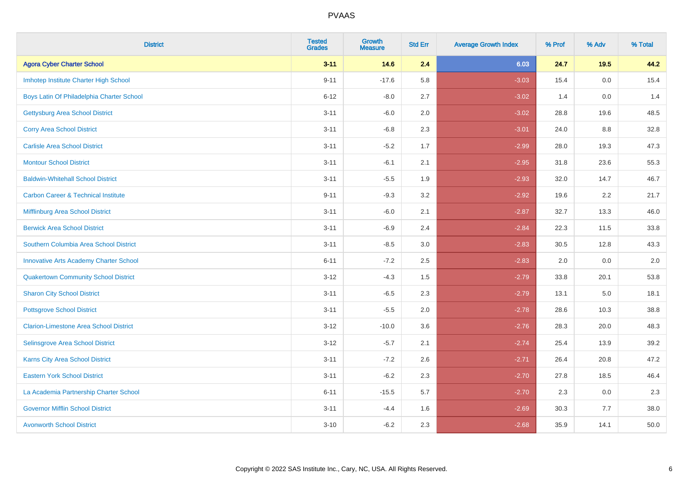| <b>District</b>                                | <b>Tested</b><br><b>Grades</b> | <b>Growth</b><br><b>Measure</b> | <b>Std Err</b> | <b>Average Growth Index</b> | % Prof | % Adv  | % Total |
|------------------------------------------------|--------------------------------|---------------------------------|----------------|-----------------------------|--------|--------|---------|
| <b>Agora Cyber Charter School</b>              | $3 - 11$                       | 14.6                            | 2.4            | 6.03                        | 24.7   | $19.5$ | 44.2    |
| Imhotep Institute Charter High School          | $9 - 11$                       | $-17.6$                         | 5.8            | $-3.03$                     | 15.4   | 0.0    | 15.4    |
| Boys Latin Of Philadelphia Charter School      | $6 - 12$                       | $-8.0$                          | 2.7            | $-3.02$                     | 1.4    | 0.0    | 1.4     |
| <b>Gettysburg Area School District</b>         | $3 - 11$                       | $-6.0$                          | 2.0            | $-3.02$                     | 28.8   | 19.6   | 48.5    |
| <b>Corry Area School District</b>              | $3 - 11$                       | $-6.8$                          | 2.3            | $-3.01$                     | 24.0   | 8.8    | 32.8    |
| <b>Carlisle Area School District</b>           | $3 - 11$                       | $-5.2$                          | 1.7            | $-2.99$                     | 28.0   | 19.3   | 47.3    |
| <b>Montour School District</b>                 | $3 - 11$                       | $-6.1$                          | 2.1            | $-2.95$                     | 31.8   | 23.6   | 55.3    |
| <b>Baldwin-Whitehall School District</b>       | $3 - 11$                       | $-5.5$                          | 1.9            | $-2.93$                     | 32.0   | 14.7   | 46.7    |
| <b>Carbon Career &amp; Technical Institute</b> | $9 - 11$                       | $-9.3$                          | 3.2            | $-2.92$                     | 19.6   | 2.2    | 21.7    |
| Mifflinburg Area School District               | $3 - 11$                       | $-6.0$                          | 2.1            | $-2.87$                     | 32.7   | 13.3   | 46.0    |
| <b>Berwick Area School District</b>            | $3 - 11$                       | $-6.9$                          | 2.4            | $-2.84$                     | 22.3   | 11.5   | 33.8    |
| Southern Columbia Area School District         | $3 - 11$                       | $-8.5$                          | 3.0            | $-2.83$                     | 30.5   | 12.8   | 43.3    |
| <b>Innovative Arts Academy Charter School</b>  | $6 - 11$                       | $-7.2$                          | 2.5            | $-2.83$                     | 2.0    | 0.0    | 2.0     |
| <b>Quakertown Community School District</b>    | $3 - 12$                       | $-4.3$                          | 1.5            | $-2.79$                     | 33.8   | 20.1   | 53.8    |
| <b>Sharon City School District</b>             | $3 - 11$                       | $-6.5$                          | 2.3            | $-2.79$                     | 13.1   | 5.0    | 18.1    |
| <b>Pottsgrove School District</b>              | $3 - 11$                       | $-5.5$                          | 2.0            | $-2.78$                     | 28.6   | 10.3   | 38.8    |
| <b>Clarion-Limestone Area School District</b>  | $3 - 12$                       | $-10.0$                         | 3.6            | $-2.76$                     | 28.3   | 20.0   | 48.3    |
| <b>Selinsgrove Area School District</b>        | $3 - 12$                       | $-5.7$                          | 2.1            | $-2.74$                     | 25.4   | 13.9   | 39.2    |
| Karns City Area School District                | $3 - 11$                       | $-7.2$                          | 2.6            | $-2.71$                     | 26.4   | 20.8   | 47.2    |
| <b>Eastern York School District</b>            | $3 - 11$                       | $-6.2$                          | 2.3            | $-2.70$                     | 27.8   | 18.5   | 46.4    |
| La Academia Partnership Charter School         | $6 - 11$                       | $-15.5$                         | 5.7            | $-2.70$                     | 2.3    | 0.0    | 2.3     |
| <b>Governor Mifflin School District</b>        | $3 - 11$                       | $-4.4$                          | 1.6            | $-2.69$                     | 30.3   | 7.7    | 38.0    |
| <b>Avonworth School District</b>               | $3 - 10$                       | $-6.2$                          | 2.3            | $-2.68$                     | 35.9   | 14.1   | 50.0    |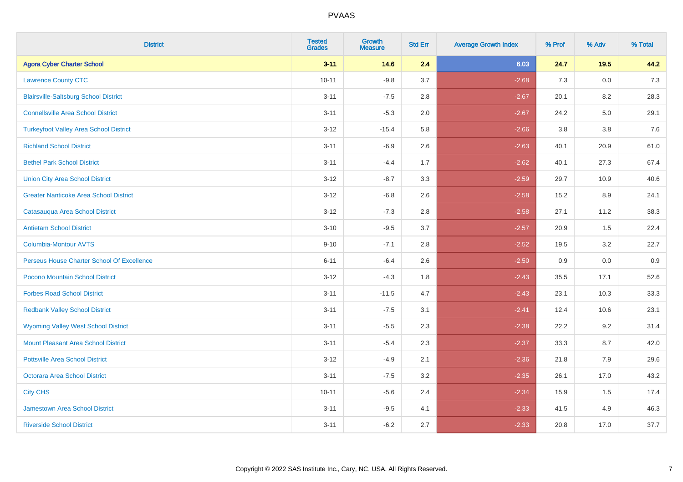| <b>District</b>                               | <b>Tested</b><br><b>Grades</b> | Growth<br><b>Measure</b> | <b>Std Err</b> | <b>Average Growth Index</b> | % Prof | % Adv   | % Total |
|-----------------------------------------------|--------------------------------|--------------------------|----------------|-----------------------------|--------|---------|---------|
| <b>Agora Cyber Charter School</b>             | $3 - 11$                       | 14.6                     | 2.4            | 6.03                        | 24.7   | $19.5$  | 44.2    |
| <b>Lawrence County CTC</b>                    | $10 - 11$                      | $-9.8$                   | 3.7            | $-2.68$                     | 7.3    | $0.0\,$ | 7.3     |
| <b>Blairsville-Saltsburg School District</b>  | $3 - 11$                       | $-7.5$                   | 2.8            | $-2.67$                     | 20.1   | 8.2     | 28.3    |
| <b>Connellsville Area School District</b>     | $3 - 11$                       | $-5.3$                   | 2.0            | $-2.67$                     | 24.2   | $5.0\,$ | 29.1    |
| <b>Turkeyfoot Valley Area School District</b> | $3 - 12$                       | $-15.4$                  | 5.8            | $-2.66$                     | 3.8    | 3.8     | 7.6     |
| <b>Richland School District</b>               | $3 - 11$                       | $-6.9$                   | 2.6            | $-2.63$                     | 40.1   | 20.9    | 61.0    |
| <b>Bethel Park School District</b>            | $3 - 11$                       | $-4.4$                   | 1.7            | $-2.62$                     | 40.1   | 27.3    | 67.4    |
| <b>Union City Area School District</b>        | $3 - 12$                       | $-8.7$                   | 3.3            | $-2.59$                     | 29.7   | 10.9    | 40.6    |
| <b>Greater Nanticoke Area School District</b> | $3-12$                         | $-6.8$                   | 2.6            | $-2.58$                     | 15.2   | 8.9     | 24.1    |
| Catasauqua Area School District               | $3 - 12$                       | $-7.3$                   | 2.8            | $-2.58$                     | 27.1   | 11.2    | 38.3    |
| <b>Antietam School District</b>               | $3 - 10$                       | $-9.5$                   | 3.7            | $-2.57$                     | 20.9   | 1.5     | 22.4    |
| <b>Columbia-Montour AVTS</b>                  | $9 - 10$                       | $-7.1$                   | 2.8            | $-2.52$                     | 19.5   | 3.2     | 22.7    |
| Perseus House Charter School Of Excellence    | $6 - 11$                       | $-6.4$                   | 2.6            | $-2.50$                     | 0.9    | 0.0     | 0.9     |
| Pocono Mountain School District               | $3-12$                         | $-4.3$                   | 1.8            | $-2.43$                     | 35.5   | 17.1    | 52.6    |
| <b>Forbes Road School District</b>            | $3 - 11$                       | $-11.5$                  | 4.7            | $-2.43$                     | 23.1   | 10.3    | 33.3    |
| <b>Redbank Valley School District</b>         | $3 - 11$                       | $-7.5$                   | 3.1            | $-2.41$                     | 12.4   | 10.6    | 23.1    |
| <b>Wyoming Valley West School District</b>    | $3 - 11$                       | $-5.5$                   | 2.3            | $-2.38$                     | 22.2   | 9.2     | 31.4    |
| Mount Pleasant Area School District           | $3 - 11$                       | $-5.4$                   | 2.3            | $-2.37$                     | 33.3   | 8.7     | 42.0    |
| <b>Pottsville Area School District</b>        | $3 - 12$                       | $-4.9$                   | 2.1            | $-2.36$                     | 21.8   | 7.9     | 29.6    |
| Octorara Area School District                 | $3 - 11$                       | $-7.5$                   | 3.2            | $-2.35$                     | 26.1   | 17.0    | 43.2    |
| <b>City CHS</b>                               | $10 - 11$                      | $-5.6$                   | 2.4            | $-2.34$                     | 15.9   | 1.5     | 17.4    |
| <b>Jamestown Area School District</b>         | $3 - 11$                       | $-9.5$                   | 4.1            | $-2.33$                     | 41.5   | 4.9     | 46.3    |
| <b>Riverside School District</b>              | $3 - 11$                       | $-6.2$                   | 2.7            | $-2.33$                     | 20.8   | 17.0    | 37.7    |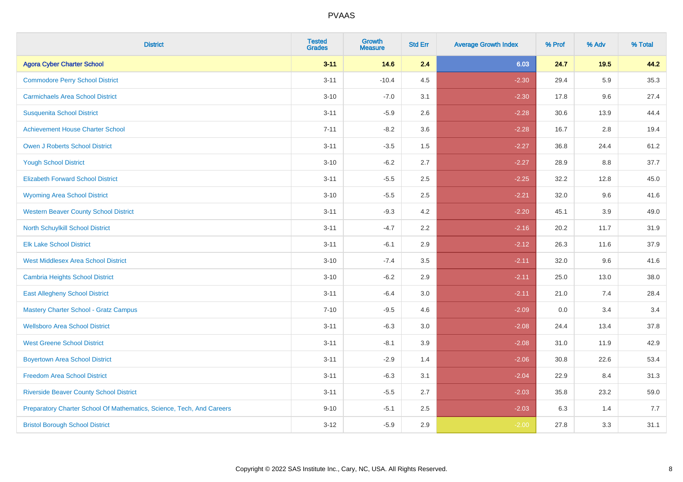| <b>District</b>                                                       | <b>Tested</b><br><b>Grades</b> | <b>Growth</b><br><b>Measure</b> | <b>Std Err</b> | <b>Average Growth Index</b> | % Prof | % Adv   | % Total |
|-----------------------------------------------------------------------|--------------------------------|---------------------------------|----------------|-----------------------------|--------|---------|---------|
| <b>Agora Cyber Charter School</b>                                     | $3 - 11$                       | 14.6                            | 2.4            | 6.03                        | 24.7   | 19.5    | 44.2    |
| <b>Commodore Perry School District</b>                                | $3 - 11$                       | $-10.4$                         | 4.5            | $-2.30$                     | 29.4   | 5.9     | 35.3    |
| <b>Carmichaels Area School District</b>                               | $3 - 10$                       | $-7.0$                          | 3.1            | $-2.30$                     | 17.8   | 9.6     | 27.4    |
| <b>Susquenita School District</b>                                     | $3 - 11$                       | $-5.9$                          | 2.6            | $-2.28$                     | 30.6   | 13.9    | 44.4    |
| <b>Achievement House Charter School</b>                               | $7 - 11$                       | $-8.2$                          | 3.6            | $-2.28$                     | 16.7   | 2.8     | 19.4    |
| <b>Owen J Roberts School District</b>                                 | $3 - 11$                       | $-3.5$                          | 1.5            | $-2.27$                     | 36.8   | 24.4    | 61.2    |
| <b>Yough School District</b>                                          | $3 - 10$                       | $-6.2$                          | 2.7            | $-2.27$                     | 28.9   | $8.8\,$ | 37.7    |
| <b>Elizabeth Forward School District</b>                              | $3 - 11$                       | $-5.5$                          | 2.5            | $-2.25$                     | 32.2   | 12.8    | 45.0    |
| <b>Wyoming Area School District</b>                                   | $3 - 10$                       | $-5.5$                          | 2.5            | $-2.21$                     | 32.0   | 9.6     | 41.6    |
| <b>Western Beaver County School District</b>                          | $3 - 11$                       | $-9.3$                          | 4.2            | $-2.20$                     | 45.1   | 3.9     | 49.0    |
| North Schuylkill School District                                      | $3 - 11$                       | $-4.7$                          | 2.2            | $-2.16$                     | 20.2   | 11.7    | 31.9    |
| <b>Elk Lake School District</b>                                       | $3 - 11$                       | $-6.1$                          | 2.9            | $-2.12$                     | 26.3   | 11.6    | 37.9    |
| <b>West Middlesex Area School District</b>                            | $3 - 10$                       | $-7.4$                          | $3.5\,$        | $-2.11$                     | 32.0   | 9.6     | 41.6    |
| <b>Cambria Heights School District</b>                                | $3 - 10$                       | $-6.2$                          | 2.9            | $-2.11$                     | 25.0   | 13.0    | 38.0    |
| <b>East Allegheny School District</b>                                 | $3 - 11$                       | $-6.4$                          | 3.0            | $-2.11$                     | 21.0   | 7.4     | 28.4    |
| <b>Mastery Charter School - Gratz Campus</b>                          | $7 - 10$                       | $-9.5$                          | 4.6            | $-2.09$                     | 0.0    | 3.4     | 3.4     |
| <b>Wellsboro Area School District</b>                                 | $3 - 11$                       | $-6.3$                          | 3.0            | $-2.08$                     | 24.4   | 13.4    | 37.8    |
| <b>West Greene School District</b>                                    | $3 - 11$                       | $-8.1$                          | 3.9            | $-2.08$                     | 31.0   | 11.9    | 42.9    |
| <b>Boyertown Area School District</b>                                 | $3 - 11$                       | $-2.9$                          | 1.4            | $-2.06$                     | 30.8   | 22.6    | 53.4    |
| <b>Freedom Area School District</b>                                   | $3 - 11$                       | $-6.3$                          | 3.1            | $-2.04$                     | 22.9   | 8.4     | 31.3    |
| <b>Riverside Beaver County School District</b>                        | $3 - 11$                       | $-5.5$                          | 2.7            | $-2.03$                     | 35.8   | 23.2    | 59.0    |
| Preparatory Charter School Of Mathematics, Science, Tech, And Careers | $9 - 10$                       | $-5.1$                          | 2.5            | $-2.03$                     | 6.3    | 1.4     | 7.7     |
| <b>Bristol Borough School District</b>                                | $3 - 12$                       | $-5.9$                          | 2.9            | $-2.00$                     | 27.8   | 3.3     | 31.1    |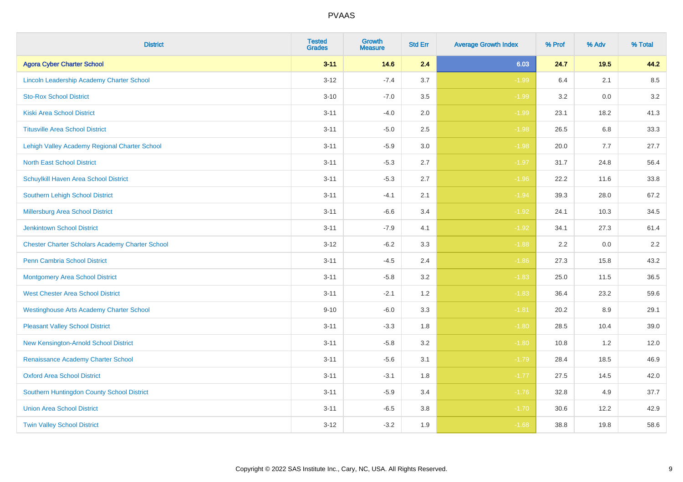| <b>District</b>                                        | <b>Tested</b><br><b>Grades</b> | <b>Growth</b><br><b>Measure</b> | <b>Std Err</b> | <b>Average Growth Index</b> | % Prof | % Adv | % Total |
|--------------------------------------------------------|--------------------------------|---------------------------------|----------------|-----------------------------|--------|-------|---------|
| <b>Agora Cyber Charter School</b>                      | $3 - 11$                       | 14.6                            | 2.4            | 6.03                        | 24.7   | 19.5  | 44.2    |
| Lincoln Leadership Academy Charter School              | $3 - 12$                       | $-7.4$                          | 3.7            | $-1.99$                     | 6.4    | 2.1   | 8.5     |
| <b>Sto-Rox School District</b>                         | $3 - 10$                       | $-7.0$                          | 3.5            | $-1.99$                     | 3.2    | 0.0   | 3.2     |
| <b>Kiski Area School District</b>                      | $3 - 11$                       | $-4.0$                          | 2.0            | $-1.99$                     | 23.1   | 18.2  | 41.3    |
| <b>Titusville Area School District</b>                 | $3 - 11$                       | $-5.0$                          | 2.5            | $-1.98$                     | 26.5   | 6.8   | 33.3    |
| Lehigh Valley Academy Regional Charter School          | $3 - 11$                       | $-5.9$                          | 3.0            | $-1.98$                     | 20.0   | 7.7   | 27.7    |
| <b>North East School District</b>                      | $3 - 11$                       | $-5.3$                          | 2.7            | $-1.97$                     | 31.7   | 24.8  | 56.4    |
| Schuylkill Haven Area School District                  | $3 - 11$                       | $-5.3$                          | 2.7            | $-1.96$                     | 22.2   | 11.6  | 33.8    |
| <b>Southern Lehigh School District</b>                 | $3 - 11$                       | $-4.1$                          | 2.1            | $-1.94$                     | 39.3   | 28.0  | 67.2    |
| Millersburg Area School District                       | $3 - 11$                       | $-6.6$                          | 3.4            | $-1.92$                     | 24.1   | 10.3  | 34.5    |
| <b>Jenkintown School District</b>                      | $3 - 11$                       | $-7.9$                          | 4.1            | $-1.92$                     | 34.1   | 27.3  | 61.4    |
| <b>Chester Charter Scholars Academy Charter School</b> | $3 - 12$                       | $-6.2$                          | 3.3            | $-1.88$                     | 2.2    | 0.0   | $2.2\,$ |
| <b>Penn Cambria School District</b>                    | $3 - 11$                       | $-4.5$                          | 2.4            | $-1.86$                     | 27.3   | 15.8  | 43.2    |
| <b>Montgomery Area School District</b>                 | $3 - 11$                       | $-5.8$                          | 3.2            | $-1.83$                     | 25.0   | 11.5  | 36.5    |
| <b>West Chester Area School District</b>               | $3 - 11$                       | $-2.1$                          | 1.2            | $-1.83$                     | 36.4   | 23.2  | 59.6    |
| <b>Westinghouse Arts Academy Charter School</b>        | $9 - 10$                       | $-6.0$                          | 3.3            | $-1.81$                     | 20.2   | 8.9   | 29.1    |
| <b>Pleasant Valley School District</b>                 | $3 - 11$                       | $-3.3$                          | 1.8            | $-1.80$                     | 28.5   | 10.4  | 39.0    |
| New Kensington-Arnold School District                  | $3 - 11$                       | $-5.8$                          | 3.2            | $-1.80$                     | 10.8   | 1.2   | 12.0    |
| Renaissance Academy Charter School                     | $3 - 11$                       | $-5.6$                          | 3.1            | $-1.79$                     | 28.4   | 18.5  | 46.9    |
| <b>Oxford Area School District</b>                     | $3 - 11$                       | $-3.1$                          | 1.8            | $-1.77$                     | 27.5   | 14.5  | 42.0    |
| Southern Huntingdon County School District             | $3 - 11$                       | $-5.9$                          | 3.4            | $-1.76$                     | 32.8   | 4.9   | 37.7    |
| <b>Union Area School District</b>                      | $3 - 11$                       | $-6.5$                          | 3.8            | $-1.70$                     | 30.6   | 12.2  | 42.9    |
| <b>Twin Valley School District</b>                     | $3-12$                         | $-3.2$                          | 1.9            | $-1.68$                     | 38.8   | 19.8  | 58.6    |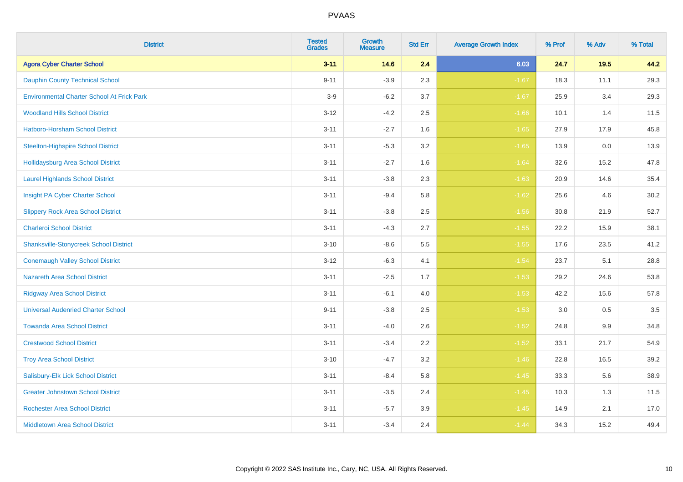| <b>District</b>                                   | <b>Tested</b><br><b>Grades</b> | Growth<br><b>Measure</b> | <b>Std Err</b> | <b>Average Growth Index</b> | % Prof | % Adv | % Total |
|---------------------------------------------------|--------------------------------|--------------------------|----------------|-----------------------------|--------|-------|---------|
| <b>Agora Cyber Charter School</b>                 | $3 - 11$                       | 14.6                     | 2.4            | 6.03                        | 24.7   | 19.5  | 44.2    |
| <b>Dauphin County Technical School</b>            | $9 - 11$                       | $-3.9$                   | 2.3            | $-1.67$                     | 18.3   | 11.1  | 29.3    |
| <b>Environmental Charter School At Frick Park</b> | $3-9$                          | $-6.2$                   | 3.7            | $-1.67$                     | 25.9   | 3.4   | 29.3    |
| <b>Woodland Hills School District</b>             | $3 - 12$                       | $-4.2$                   | 2.5            | $-1.66$                     | 10.1   | 1.4   | 11.5    |
| Hatboro-Horsham School District                   | $3 - 11$                       | $-2.7$                   | 1.6            | $-1.65$                     | 27.9   | 17.9  | 45.8    |
| <b>Steelton-Highspire School District</b>         | $3 - 11$                       | $-5.3$                   | 3.2            | $-1.65$                     | 13.9   | 0.0   | 13.9    |
| <b>Hollidaysburg Area School District</b>         | $3 - 11$                       | $-2.7$                   | 1.6            | $-1.64$                     | 32.6   | 15.2  | 47.8    |
| <b>Laurel Highlands School District</b>           | $3 - 11$                       | $-3.8$                   | 2.3            | $-1.63$                     | 20.9   | 14.6  | 35.4    |
| Insight PA Cyber Charter School                   | $3 - 11$                       | $-9.4$                   | 5.8            | $-1.62$                     | 25.6   | 4.6   | 30.2    |
| <b>Slippery Rock Area School District</b>         | $3 - 11$                       | $-3.8$                   | 2.5            | $-1.56$                     | 30.8   | 21.9  | 52.7    |
| <b>Charleroi School District</b>                  | $3 - 11$                       | $-4.3$                   | 2.7            | $-1.55$                     | 22.2   | 15.9  | 38.1    |
| <b>Shanksville-Stonycreek School District</b>     | $3 - 10$                       | $-8.6$                   | 5.5            | $-1.55$                     | 17.6   | 23.5  | 41.2    |
| <b>Conemaugh Valley School District</b>           | $3 - 12$                       | $-6.3$                   | 4.1            | $-1.54$                     | 23.7   | 5.1   | 28.8    |
| Nazareth Area School District                     | $3 - 11$                       | $-2.5$                   | 1.7            | $-1.53$                     | 29.2   | 24.6  | 53.8    |
| <b>Ridgway Area School District</b>               | $3 - 11$                       | $-6.1$                   | 4.0            | $-1.53$                     | 42.2   | 15.6  | 57.8    |
| <b>Universal Audenried Charter School</b>         | $9 - 11$                       | $-3.8$                   | 2.5            | $-1.53$                     | 3.0    | 0.5   | 3.5     |
| <b>Towanda Area School District</b>               | $3 - 11$                       | $-4.0$                   | 2.6            | $-1.52$                     | 24.8   | 9.9   | 34.8    |
| <b>Crestwood School District</b>                  | $3 - 11$                       | $-3.4$                   | 2.2            | $-1.52$                     | 33.1   | 21.7  | 54.9    |
| <b>Troy Area School District</b>                  | $3 - 10$                       | $-4.7$                   | 3.2            | $-1.46$                     | 22.8   | 16.5  | 39.2    |
| Salisbury-Elk Lick School District                | $3 - 11$                       | $-8.4$                   | 5.8            | $-1.45$                     | 33.3   | 5.6   | 38.9    |
| <b>Greater Johnstown School District</b>          | $3 - 11$                       | $-3.5$                   | 2.4            | $-1.45$                     | 10.3   | 1.3   | 11.5    |
| <b>Rochester Area School District</b>             | $3 - 11$                       | $-5.7$                   | 3.9            | $-1.45$                     | 14.9   | 2.1   | 17.0    |
| <b>Middletown Area School District</b>            | $3 - 11$                       | $-3.4$                   | 2.4            | $-1.44$                     | 34.3   | 15.2  | 49.4    |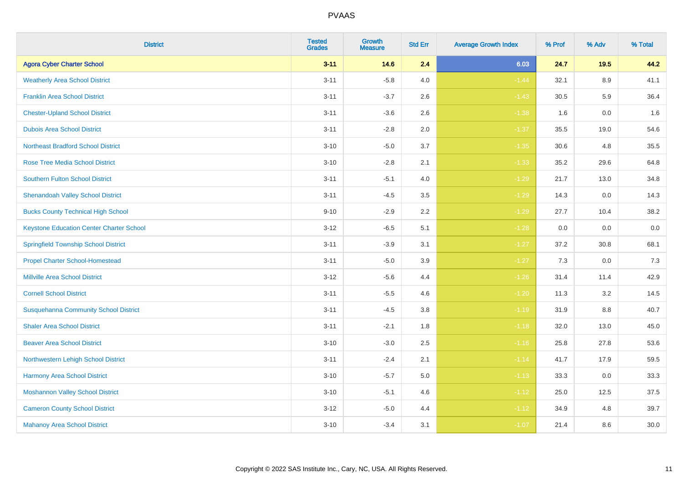| <b>District</b>                                 | <b>Tested</b><br><b>Grades</b> | <b>Growth</b><br><b>Measure</b> | <b>Std Err</b> | <b>Average Growth Index</b> | % Prof | % Adv | % Total |
|-------------------------------------------------|--------------------------------|---------------------------------|----------------|-----------------------------|--------|-------|---------|
| <b>Agora Cyber Charter School</b>               | $3 - 11$                       | 14.6                            | 2.4            | 6.03                        | 24.7   | 19.5  | 44.2    |
| <b>Weatherly Area School District</b>           | $3 - 11$                       | $-5.8$                          | 4.0            | $-1.44$                     | 32.1   | 8.9   | 41.1    |
| <b>Franklin Area School District</b>            | $3 - 11$                       | $-3.7$                          | 2.6            | $-1.43$                     | 30.5   | 5.9   | 36.4    |
| <b>Chester-Upland School District</b>           | $3 - 11$                       | $-3.6$                          | 2.6            | $-1.38$                     | 1.6    | 0.0   | 1.6     |
| <b>Dubois Area School District</b>              | $3 - 11$                       | $-2.8$                          | 2.0            | $-1.37$                     | 35.5   | 19.0  | 54.6    |
| <b>Northeast Bradford School District</b>       | $3 - 10$                       | $-5.0$                          | 3.7            | $-1.35$                     | 30.6   | 4.8   | 35.5    |
| <b>Rose Tree Media School District</b>          | $3 - 10$                       | $-2.8$                          | 2.1            | $-1.33$                     | 35.2   | 29.6  | 64.8    |
| <b>Southern Fulton School District</b>          | $3 - 11$                       | $-5.1$                          | 4.0            | $-1.29$                     | 21.7   | 13.0  | 34.8    |
| <b>Shenandoah Valley School District</b>        | $3 - 11$                       | $-4.5$                          | 3.5            | $-1.29$                     | 14.3   | 0.0   | 14.3    |
| <b>Bucks County Technical High School</b>       | $9 - 10$                       | $-2.9$                          | $2.2\,$        | $-1.29$                     | 27.7   | 10.4  | 38.2    |
| <b>Keystone Education Center Charter School</b> | $3 - 12$                       | $-6.5$                          | 5.1            | $-1.28$                     | 0.0    | 0.0   | $0.0\,$ |
| <b>Springfield Township School District</b>     | $3 - 11$                       | $-3.9$                          | 3.1            | $-1.27$                     | 37.2   | 30.8  | 68.1    |
| <b>Propel Charter School-Homestead</b>          | $3 - 11$                       | $-5.0$                          | 3.9            | $-1.27$                     | 7.3    | 0.0   | 7.3     |
| <b>Millville Area School District</b>           | $3 - 12$                       | $-5.6$                          | 4.4            | $-1.26$                     | 31.4   | 11.4  | 42.9    |
| <b>Cornell School District</b>                  | $3 - 11$                       | $-5.5$                          | 4.6            | $-1.20$                     | 11.3   | 3.2   | 14.5    |
| <b>Susquehanna Community School District</b>    | $3 - 11$                       | $-4.5$                          | 3.8            | $-1.19$                     | 31.9   | 8.8   | 40.7    |
| <b>Shaler Area School District</b>              | $3 - 11$                       | $-2.1$                          | 1.8            | $-1.18$                     | 32.0   | 13.0  | 45.0    |
| <b>Beaver Area School District</b>              | $3 - 10$                       | $-3.0$                          | 2.5            | $-1.16$                     | 25.8   | 27.8  | 53.6    |
| Northwestern Lehigh School District             | $3 - 11$                       | $-2.4$                          | 2.1            | $-1.14$                     | 41.7   | 17.9  | 59.5    |
| Harmony Area School District                    | $3 - 10$                       | $-5.7$                          | 5.0            | $-1.13$                     | 33.3   | 0.0   | 33.3    |
| <b>Moshannon Valley School District</b>         | $3 - 10$                       | $-5.1$                          | 4.6            | $-1.12$                     | 25.0   | 12.5  | 37.5    |
| <b>Cameron County School District</b>           | $3 - 12$                       | $-5.0$                          | 4.4            | $-1.12$                     | 34.9   | 4.8   | 39.7    |
| <b>Mahanoy Area School District</b>             | $3 - 10$                       | $-3.4$                          | 3.1            | $-1.07$                     | 21.4   | 8.6   | 30.0    |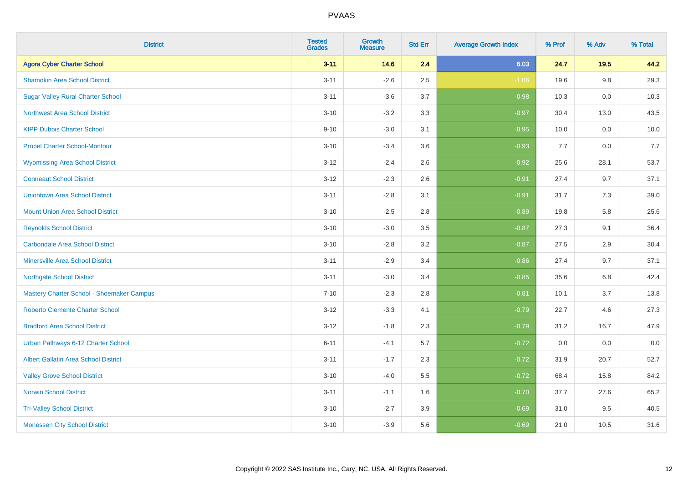| <b>District</b>                             | <b>Tested</b><br><b>Grades</b> | Growth<br><b>Measure</b> | <b>Std Err</b> | <b>Average Growth Index</b> | % Prof | % Adv  | % Total |
|---------------------------------------------|--------------------------------|--------------------------|----------------|-----------------------------|--------|--------|---------|
| <b>Agora Cyber Charter School</b>           | $3 - 11$                       | 14.6                     | 2.4            | 6.03                        | 24.7   | $19.5$ | 44.2    |
| <b>Shamokin Area School District</b>        | $3 - 11$                       | $-2.6$                   | 2.5            | $-1.06$                     | 19.6   | 9.8    | 29.3    |
| <b>Sugar Valley Rural Charter School</b>    | $3 - 11$                       | $-3.6$                   | 3.7            | $-0.98$                     | 10.3   | 0.0    | 10.3    |
| <b>Northwest Area School District</b>       | $3 - 10$                       | $-3.2$                   | 3.3            | $-0.97$                     | 30.4   | 13.0   | 43.5    |
| <b>KIPP Dubois Charter School</b>           | $9 - 10$                       | $-3.0$                   | 3.1            | $-0.95$                     | 10.0   | 0.0    | 10.0    |
| <b>Propel Charter School-Montour</b>        | $3 - 10$                       | $-3.4$                   | 3.6            | $-0.93$                     | 7.7    | 0.0    | 7.7     |
| <b>Wyomissing Area School District</b>      | $3 - 12$                       | $-2.4$                   | 2.6            | $-0.92$                     | 25.6   | 28.1   | 53.7    |
| <b>Conneaut School District</b>             | $3 - 12$                       | $-2.3$                   | 2.6            | $-0.91$                     | 27.4   | 9.7    | 37.1    |
| <b>Uniontown Area School District</b>       | $3 - 11$                       | $-2.8$                   | 3.1            | $-0.91$                     | 31.7   | 7.3    | 39.0    |
| <b>Mount Union Area School District</b>     | $3 - 10$                       | $-2.5$                   | 2.8            | $-0.89$                     | 19.8   | 5.8    | 25.6    |
| <b>Reynolds School District</b>             | $3 - 10$                       | $-3.0$                   | 3.5            | $-0.87$                     | 27.3   | 9.1    | 36.4    |
| <b>Carbondale Area School District</b>      | $3 - 10$                       | $-2.8$                   | 3.2            | $-0.87$                     | 27.5   | 2.9    | 30.4    |
| <b>Minersville Area School District</b>     | $3 - 11$                       | $-2.9$                   | 3.4            | $-0.86$                     | 27.4   | 9.7    | 37.1    |
| <b>Northgate School District</b>            | $3 - 11$                       | $-3.0$                   | 3.4            | $-0.85$                     | 35.6   | 6.8    | 42.4    |
| Mastery Charter School - Shoemaker Campus   | $7 - 10$                       | $-2.3$                   | 2.8            | $-0.81$                     | 10.1   | 3.7    | 13.8    |
| Roberto Clemente Charter School             | $3 - 12$                       | $-3.3$                   | 4.1            | $-0.79$                     | 22.7   | 4.6    | 27.3    |
| <b>Bradford Area School District</b>        | $3 - 12$                       | $-1.8$                   | 2.3            | $-0.79$                     | 31.2   | 16.7   | 47.9    |
| Urban Pathways 6-12 Charter School          | $6 - 11$                       | $-4.1$                   | 5.7            | $-0.72$                     | 0.0    | 0.0    | $0.0\,$ |
| <b>Albert Gallatin Area School District</b> | $3 - 11$                       | $-1.7$                   | 2.3            | $-0.72$                     | 31.9   | 20.7   | 52.7    |
| <b>Valley Grove School District</b>         | $3 - 10$                       | $-4.0$                   | 5.5            | $-0.72$                     | 68.4   | 15.8   | 84.2    |
| <b>Norwin School District</b>               | $3 - 11$                       | $-1.1$                   | 1.6            | $-0.70$                     | 37.7   | 27.6   | 65.2    |
| <b>Tri-Valley School District</b>           | $3 - 10$                       | $-2.7$                   | 3.9            | $-0.69$                     | 31.0   | 9.5    | 40.5    |
| <b>Monessen City School District</b>        | $3 - 10$                       | $-3.9$                   | 5.6            | $-0.69$                     | 21.0   | 10.5   | 31.6    |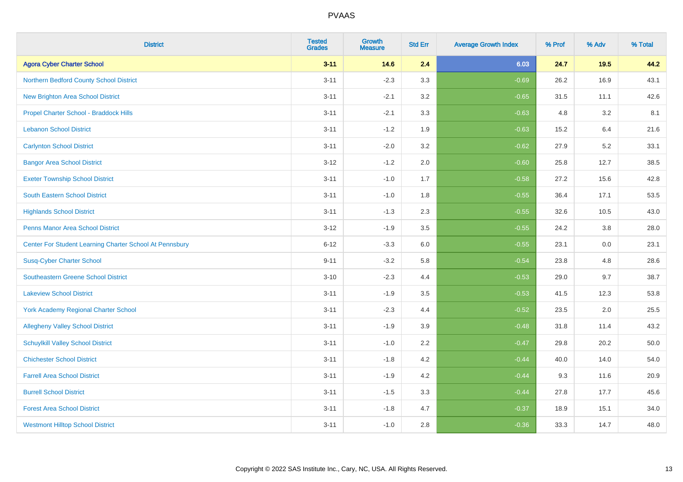| <b>District</b>                                         | <b>Tested</b><br><b>Grades</b> | <b>Growth</b><br><b>Measure</b> | <b>Std Err</b> | <b>Average Growth Index</b> | % Prof | % Adv   | % Total |
|---------------------------------------------------------|--------------------------------|---------------------------------|----------------|-----------------------------|--------|---------|---------|
| <b>Agora Cyber Charter School</b>                       | $3 - 11$                       | 14.6                            | 2.4            | 6.03                        | 24.7   | 19.5    | 44.2    |
| Northern Bedford County School District                 | $3 - 11$                       | $-2.3$                          | 3.3            | $-0.69$                     | 26.2   | 16.9    | 43.1    |
| <b>New Brighton Area School District</b>                | $3 - 11$                       | $-2.1$                          | 3.2            | $-0.65$                     | 31.5   | 11.1    | 42.6    |
| Propel Charter School - Braddock Hills                  | $3 - 11$                       | $-2.1$                          | 3.3            | $-0.63$                     | 4.8    | $3.2\,$ | 8.1     |
| <b>Lebanon School District</b>                          | $3 - 11$                       | $-1.2$                          | 1.9            | $-0.63$                     | 15.2   | 6.4     | 21.6    |
| <b>Carlynton School District</b>                        | $3 - 11$                       | $-2.0$                          | 3.2            | $-0.62$                     | 27.9   | 5.2     | 33.1    |
| <b>Bangor Area School District</b>                      | $3 - 12$                       | $-1.2$                          | 2.0            | $-0.60$                     | 25.8   | 12.7    | 38.5    |
| <b>Exeter Township School District</b>                  | $3 - 11$                       | $-1.0$                          | 1.7            | $-0.58$                     | 27.2   | 15.6    | 42.8    |
| <b>South Eastern School District</b>                    | $3 - 11$                       | $-1.0$                          | 1.8            | $-0.55$                     | 36.4   | 17.1    | 53.5    |
| <b>Highlands School District</b>                        | $3 - 11$                       | $-1.3$                          | 2.3            | $-0.55$                     | 32.6   | 10.5    | 43.0    |
| <b>Penns Manor Area School District</b>                 | $3 - 12$                       | $-1.9$                          | 3.5            | $-0.55$                     | 24.2   | 3.8     | 28.0    |
| Center For Student Learning Charter School At Pennsbury | $6 - 12$                       | $-3.3$                          | 6.0            | $-0.55$                     | 23.1   | 0.0     | 23.1    |
| <b>Susq-Cyber Charter School</b>                        | $9 - 11$                       | $-3.2$                          | 5.8            | $-0.54$                     | 23.8   | 4.8     | 28.6    |
| <b>Southeastern Greene School District</b>              | $3 - 10$                       | $-2.3$                          | 4.4            | $-0.53$                     | 29.0   | 9.7     | 38.7    |
| <b>Lakeview School District</b>                         | $3 - 11$                       | $-1.9$                          | 3.5            | $-0.53$                     | 41.5   | 12.3    | 53.8    |
| <b>York Academy Regional Charter School</b>             | $3 - 11$                       | $-2.3$                          | 4.4            | $-0.52$                     | 23.5   | 2.0     | 25.5    |
| <b>Allegheny Valley School District</b>                 | $3 - 11$                       | $-1.9$                          | 3.9            | $-0.48$                     | 31.8   | 11.4    | 43.2    |
| <b>Schuylkill Valley School District</b>                | $3 - 11$                       | $-1.0$                          | 2.2            | $-0.47$                     | 29.8   | 20.2    | 50.0    |
| <b>Chichester School District</b>                       | $3 - 11$                       | $-1.8$                          | 4.2            | $-0.44$                     | 40.0   | 14.0    | 54.0    |
| <b>Farrell Area School District</b>                     | $3 - 11$                       | $-1.9$                          | 4.2            | $-0.44$                     | 9.3    | 11.6    | 20.9    |
| <b>Burrell School District</b>                          | $3 - 11$                       | $-1.5$                          | 3.3            | $-0.44$                     | 27.8   | 17.7    | 45.6    |
| <b>Forest Area School District</b>                      | $3 - 11$                       | $-1.8$                          | 4.7            | $-0.37$                     | 18.9   | 15.1    | 34.0    |
| <b>Westmont Hilltop School District</b>                 | $3 - 11$                       | $-1.0$                          | 2.8            | $-0.36$                     | 33.3   | 14.7    | 48.0    |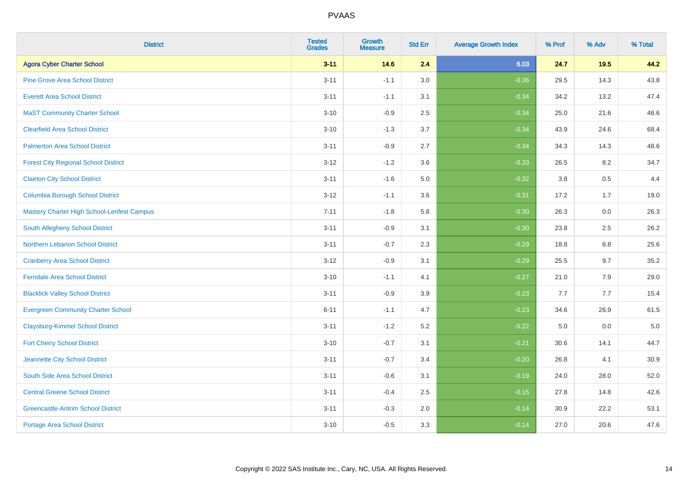| <b>District</b>                             | <b>Tested</b><br><b>Grades</b> | <b>Growth</b><br><b>Measure</b> | <b>Std Err</b> | <b>Average Growth Index</b> | % Prof | % Adv | % Total |
|---------------------------------------------|--------------------------------|---------------------------------|----------------|-----------------------------|--------|-------|---------|
| <b>Agora Cyber Charter School</b>           | $3 - 11$                       | 14.6                            | 2.4            | 6.03                        | 24.7   | 19.5  | 44.2    |
| <b>Pine Grove Area School District</b>      | $3 - 11$                       | $-1.1$                          | 3.0            | $-0.36$                     | 29.5   | 14.3  | 43.8    |
| <b>Everett Area School District</b>         | $3 - 11$                       | $-1.1$                          | 3.1            | $-0.34$                     | 34.2   | 13.2  | 47.4    |
| <b>MaST Community Charter School</b>        | $3 - 10$                       | $-0.9$                          | 2.5            | $-0.34$                     | 25.0   | 21.6  | 46.6    |
| <b>Clearfield Area School District</b>      | $3 - 10$                       | $-1.3$                          | 3.7            | $-0.34$                     | 43.9   | 24.6  | 68.4    |
| <b>Palmerton Area School District</b>       | $3 - 11$                       | $-0.9$                          | 2.7            | $-0.34$                     | 34.3   | 14.3  | 48.6    |
| <b>Forest City Regional School District</b> | $3 - 12$                       | $-1.2$                          | 3.6            | $-0.33$                     | 26.5   | 8.2   | 34.7    |
| <b>Clairton City School District</b>        | $3 - 11$                       | $-1.6$                          | $5.0\,$        | $-0.32$                     | 3.8    | 0.5   | 4.4     |
| <b>Columbia Borough School District</b>     | $3 - 12$                       | $-1.1$                          | 3.6            | $-0.31$                     | 17.2   | 1.7   | 19.0    |
| Mastery Charter High School-Lenfest Campus  | $7 - 11$                       | $-1.8$                          | 5.8            | $-0.30$                     | 26.3   | 0.0   | 26.3    |
| South Allegheny School District             | $3 - 11$                       | $-0.9$                          | 3.1            | $-0.30$                     | 23.8   | 2.5   | 26.2    |
| Northern Lebanon School District            | $3 - 11$                       | $-0.7$                          | 2.3            | $-0.29$                     | 18.8   | 6.8   | 25.6    |
| <b>Cranberry Area School District</b>       | $3 - 12$                       | $-0.9$                          | 3.1            | $-0.29$                     | 25.5   | 9.7   | 35.2    |
| <b>Ferndale Area School District</b>        | $3 - 10$                       | $-1.1$                          | 4.1            | $-0.27$                     | 21.0   | 7.9   | 29.0    |
| <b>Blacklick Valley School District</b>     | $3 - 11$                       | $-0.9$                          | 3.9            | $-0.23$                     | 7.7    | 7.7   | 15.4    |
| <b>Evergreen Community Charter School</b>   | $6 - 11$                       | $-1.1$                          | 4.7            | $-0.23$                     | 34.6   | 26.9  | 61.5    |
| <b>Claysburg-Kimmel School District</b>     | $3 - 11$                       | $-1.2$                          | 5.2            | $-0.22$                     | 5.0    | 0.0   | $5.0$   |
| <b>Fort Cherry School District</b>          | $3 - 10$                       | $-0.7$                          | 3.1            | $-0.21$                     | 30.6   | 14.1  | 44.7    |
| Jeannette City School District              | $3 - 11$                       | $-0.7$                          | 3.4            | $-0.20$                     | 26.8   | 4.1   | 30.9    |
| South Side Area School District             | $3 - 11$                       | $-0.6$                          | 3.1            | $-0.19$                     | 24.0   | 28.0  | 52.0    |
| <b>Central Greene School District</b>       | $3 - 11$                       | $-0.4$                          | 2.5            | $-0.15$                     | 27.8   | 14.8  | 42.6    |
| <b>Greencastle-Antrim School District</b>   | $3 - 11$                       | $-0.3$                          | 2.0            | $-0.14$                     | 30.9   | 22.2  | 53.1    |
| <b>Portage Area School District</b>         | $3 - 10$                       | $-0.5$                          | 3.3            | $-0.14$                     | 27.0   | 20.6  | 47.6    |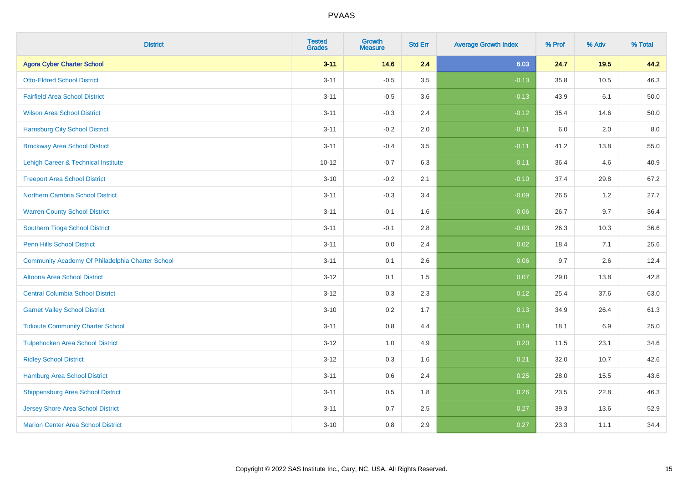| <b>District</b>                                  | <b>Tested</b><br><b>Grades</b> | <b>Growth</b><br><b>Measure</b> | <b>Std Err</b> | <b>Average Growth Index</b> | % Prof | % Adv | % Total |
|--------------------------------------------------|--------------------------------|---------------------------------|----------------|-----------------------------|--------|-------|---------|
| <b>Agora Cyber Charter School</b>                | $3 - 11$                       | 14.6                            | 2.4            | 6.03                        | 24.7   | 19.5  | 44.2    |
| <b>Otto-Eldred School District</b>               | $3 - 11$                       | $-0.5$                          | 3.5            | $-0.13$                     | 35.8   | 10.5  | 46.3    |
| <b>Fairfield Area School District</b>            | $3 - 11$                       | $-0.5$                          | 3.6            | $-0.13$                     | 43.9   | 6.1   | 50.0    |
| <b>Wilson Area School District</b>               | $3 - 11$                       | $-0.3$                          | 2.4            | $-0.12$                     | 35.4   | 14.6  | 50.0    |
| <b>Harrisburg City School District</b>           | $3 - 11$                       | $-0.2$                          | 2.0            | $-0.11$                     | 6.0    | 2.0   | 8.0     |
| <b>Brockway Area School District</b>             | $3 - 11$                       | $-0.4$                          | 3.5            | $-0.11$                     | 41.2   | 13.8  | 55.0    |
| Lehigh Career & Technical Institute              | $10 - 12$                      | $-0.7$                          | 6.3            | $-0.11$                     | 36.4   | 4.6   | 40.9    |
| <b>Freeport Area School District</b>             | $3 - 10$                       | $-0.2$                          | 2.1            | $-0.10$                     | 37.4   | 29.8  | 67.2    |
| Northern Cambria School District                 | $3 - 11$                       | $-0.3$                          | 3.4            | $-0.09$                     | 26.5   | 1.2   | 27.7    |
| <b>Warren County School District</b>             | $3 - 11$                       | $-0.1$                          | 1.6            | $-0.06$                     | 26.7   | 9.7   | 36.4    |
| Southern Tioga School District                   | $3 - 11$                       | $-0.1$                          | 2.8            | $-0.03$                     | 26.3   | 10.3  | 36.6    |
| <b>Penn Hills School District</b>                | $3 - 11$                       | 0.0                             | 2.4            | 0.02                        | 18.4   | 7.1   | 25.6    |
| Community Academy Of Philadelphia Charter School | $3 - 11$                       | 0.1                             | 2.6            | 0.06                        | 9.7    | 2.6   | 12.4    |
| Altoona Area School District                     | $3 - 12$                       | 0.1                             | 1.5            | 0.07                        | 29.0   | 13.8  | 42.8    |
| <b>Central Columbia School District</b>          | $3-12$                         | 0.3                             | 2.3            | 0.12                        | 25.4   | 37.6  | 63.0    |
| <b>Garnet Valley School District</b>             | $3 - 10$                       | 0.2                             | 1.7            | 0.13                        | 34.9   | 26.4  | 61.3    |
| <b>Tidioute Community Charter School</b>         | $3 - 11$                       | 0.8                             | 4.4            | 0.19                        | 18.1   | 6.9   | 25.0    |
| <b>Tulpehocken Area School District</b>          | $3-12$                         | 1.0                             | 4.9            | 0.20                        | 11.5   | 23.1  | 34.6    |
| <b>Ridley School District</b>                    | $3 - 12$                       | 0.3                             | 1.6            | 0.21                        | 32.0   | 10.7  | 42.6    |
| Hamburg Area School District                     | $3 - 11$                       | 0.6                             | 2.4            | 0.25                        | 28.0   | 15.5  | 43.6    |
| <b>Shippensburg Area School District</b>         | $3 - 11$                       | 0.5                             | 1.8            | 0.26                        | 23.5   | 22.8  | 46.3    |
| <b>Jersey Shore Area School District</b>         | $3 - 11$                       | 0.7                             | 2.5            | 0.27                        | 39.3   | 13.6  | 52.9    |
| <b>Marion Center Area School District</b>        | $3 - 10$                       | 0.8                             | 2.9            | 0.27                        | 23.3   | 11.1  | 34.4    |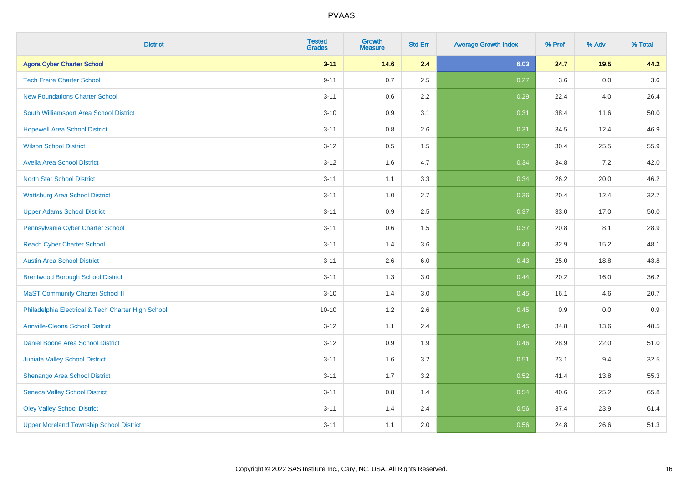| <b>District</b>                                    | <b>Tested</b><br><b>Grades</b> | <b>Growth</b><br><b>Measure</b> | <b>Std Err</b> | <b>Average Growth Index</b> | % Prof | % Adv   | % Total |
|----------------------------------------------------|--------------------------------|---------------------------------|----------------|-----------------------------|--------|---------|---------|
| <b>Agora Cyber Charter School</b>                  | $3 - 11$                       | 14.6                            | 2.4            | 6.03                        | 24.7   | 19.5    | 44.2    |
| <b>Tech Freire Charter School</b>                  | $9 - 11$                       | 0.7                             | 2.5            | 0.27                        | 3.6    | $0.0\,$ | 3.6     |
| <b>New Foundations Charter School</b>              | $3 - 11$                       | 0.6                             | 2.2            | 0.29                        | 22.4   | 4.0     | 26.4    |
| South Williamsport Area School District            | $3 - 10$                       | 0.9                             | 3.1            | 0.31                        | 38.4   | 11.6    | 50.0    |
| <b>Hopewell Area School District</b>               | $3 - 11$                       | 0.8                             | 2.6            | 0.31                        | 34.5   | 12.4    | 46.9    |
| <b>Wilson School District</b>                      | $3 - 12$                       | 0.5                             | 1.5            | 0.32                        | 30.4   | 25.5    | 55.9    |
| <b>Avella Area School District</b>                 | $3-12$                         | 1.6                             | 4.7            | 0.34                        | 34.8   | $7.2\,$ | 42.0    |
| <b>North Star School District</b>                  | $3 - 11$                       | 1.1                             | 3.3            | 0.34                        | 26.2   | 20.0    | 46.2    |
| <b>Wattsburg Area School District</b>              | $3 - 11$                       | 1.0                             | 2.7            | 0.36                        | 20.4   | 12.4    | 32.7    |
| <b>Upper Adams School District</b>                 | $3 - 11$                       | 0.9                             | 2.5            | 0.37                        | 33.0   | 17.0    | 50.0    |
| Pennsylvania Cyber Charter School                  | $3 - 11$                       | 0.6                             | 1.5            | 0.37                        | 20.8   | 8.1     | 28.9    |
| <b>Reach Cyber Charter School</b>                  | $3 - 11$                       | 1.4                             | 3.6            | 0.40                        | 32.9   | 15.2    | 48.1    |
| <b>Austin Area School District</b>                 | $3 - 11$                       | 2.6                             | $6.0\,$        | 0.43                        | 25.0   | 18.8    | 43.8    |
| <b>Brentwood Borough School District</b>           | $3 - 11$                       | 1.3                             | 3.0            | 0.44                        | 20.2   | 16.0    | 36.2    |
| <b>MaST Community Charter School II</b>            | $3 - 10$                       | 1.4                             | 3.0            | 0.45                        | 16.1   | 4.6     | 20.7    |
| Philadelphia Electrical & Tech Charter High School | $10 - 10$                      | $1.2$                           | 2.6            | 0.45                        | 0.9    | $0.0\,$ | 0.9     |
| <b>Annville-Cleona School District</b>             | $3-12$                         | 1.1                             | 2.4            | 0.45                        | 34.8   | 13.6    | 48.5    |
| Daniel Boone Area School District                  | $3 - 12$                       | 0.9                             | 1.9            | 0.46                        | 28.9   | 22.0    | 51.0    |
| Juniata Valley School District                     | $3 - 11$                       | 1.6                             | 3.2            | 0.51                        | 23.1   | 9.4     | 32.5    |
| Shenango Area School District                      | $3 - 11$                       | 1.7                             | 3.2            | 0.52                        | 41.4   | 13.8    | 55.3    |
| <b>Seneca Valley School District</b>               | $3 - 11$                       | 0.8                             | 1.4            | 0.54                        | 40.6   | 25.2    | 65.8    |
| <b>Oley Valley School District</b>                 | $3 - 11$                       | 1.4                             | 2.4            | 0.56                        | 37.4   | 23.9    | 61.4    |
| <b>Upper Moreland Township School District</b>     | $3 - 11$                       | 1.1                             | 2.0            | 0.56                        | 24.8   | 26.6    | 51.3    |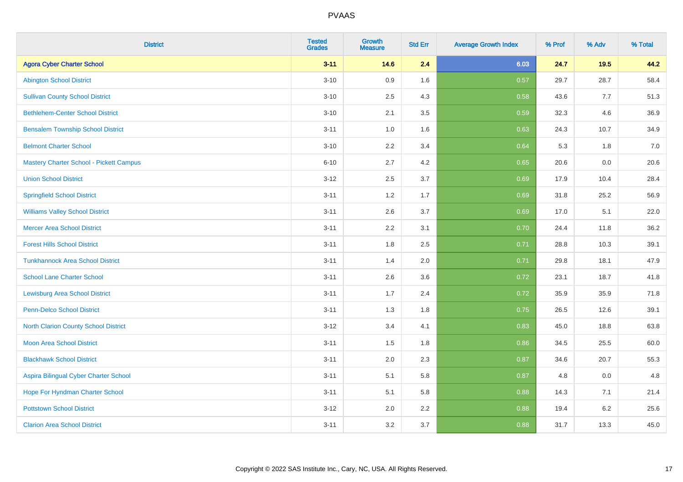| <b>District</b>                                | <b>Tested</b><br><b>Grades</b> | Growth<br><b>Measure</b> | <b>Std Err</b> | <b>Average Growth Index</b> | % Prof | % Adv   | % Total |
|------------------------------------------------|--------------------------------|--------------------------|----------------|-----------------------------|--------|---------|---------|
| <b>Agora Cyber Charter School</b>              | $3 - 11$                       | 14.6                     | 2.4            | 6.03                        | 24.7   | 19.5    | 44.2    |
| <b>Abington School District</b>                | $3 - 10$                       | 0.9                      | 1.6            | 0.57                        | 29.7   | 28.7    | 58.4    |
| <b>Sullivan County School District</b>         | $3 - 10$                       | 2.5                      | 4.3            | 0.58                        | 43.6   | 7.7     | 51.3    |
| <b>Bethlehem-Center School District</b>        | $3 - 10$                       | 2.1                      | 3.5            | 0.59                        | 32.3   | 4.6     | 36.9    |
| <b>Bensalem Township School District</b>       | $3 - 11$                       | 1.0                      | 1.6            | 0.63                        | 24.3   | 10.7    | 34.9    |
| <b>Belmont Charter School</b>                  | $3 - 10$                       | 2.2                      | 3.4            | 0.64                        | 5.3    | 1.8     | 7.0     |
| <b>Mastery Charter School - Pickett Campus</b> | $6 - 10$                       | 2.7                      | 4.2            | 0.65                        | 20.6   | 0.0     | 20.6    |
| <b>Union School District</b>                   | $3 - 12$                       | 2.5                      | 3.7            | 0.69                        | 17.9   | 10.4    | 28.4    |
| <b>Springfield School District</b>             | $3 - 11$                       | 1.2                      | 1.7            | 0.69                        | 31.8   | 25.2    | 56.9    |
| <b>Williams Valley School District</b>         | $3 - 11$                       | 2.6                      | 3.7            | 0.69                        | 17.0   | 5.1     | 22.0    |
| <b>Mercer Area School District</b>             | $3 - 11$                       | 2.2                      | 3.1            | 0.70                        | 24.4   | 11.8    | 36.2    |
| <b>Forest Hills School District</b>            | $3 - 11$                       | 1.8                      | 2.5            | 0.71                        | 28.8   | 10.3    | 39.1    |
| <b>Tunkhannock Area School District</b>        | $3 - 11$                       | 1.4                      | 2.0            | 0.71                        | 29.8   | 18.1    | 47.9    |
| <b>School Lane Charter School</b>              | $3 - 11$                       | 2.6                      | 3.6            | 0.72                        | 23.1   | 18.7    | 41.8    |
| <b>Lewisburg Area School District</b>          | $3 - 11$                       | 1.7                      | 2.4            | 0.72                        | 35.9   | 35.9    | 71.8    |
| <b>Penn-Delco School District</b>              | $3 - 11$                       | 1.3                      | 1.8            | 0.75                        | 26.5   | 12.6    | 39.1    |
| <b>North Clarion County School District</b>    | $3 - 12$                       | 3.4                      | 4.1            | 0.83                        | 45.0   | 18.8    | 63.8    |
| <b>Moon Area School District</b>               | $3 - 11$                       | 1.5                      | 1.8            | 0.86                        | 34.5   | 25.5    | 60.0    |
| <b>Blackhawk School District</b>               | $3 - 11$                       | 2.0                      | 2.3            | 0.87                        | 34.6   | 20.7    | 55.3    |
| Aspira Bilingual Cyber Charter School          | $3 - 11$                       | 5.1                      | 5.8            | 0.87                        | 4.8    | 0.0     | 4.8     |
| Hope For Hyndman Charter School                | $3 - 11$                       | 5.1                      | 5.8            | 0.88                        | 14.3   | 7.1     | 21.4    |
| <b>Pottstown School District</b>               | $3 - 12$                       | 2.0                      | 2.2            | 0.88                        | 19.4   | $6.2\,$ | 25.6    |
| <b>Clarion Area School District</b>            | $3 - 11$                       | 3.2                      | 3.7            | 0.88                        | 31.7   | 13.3    | 45.0    |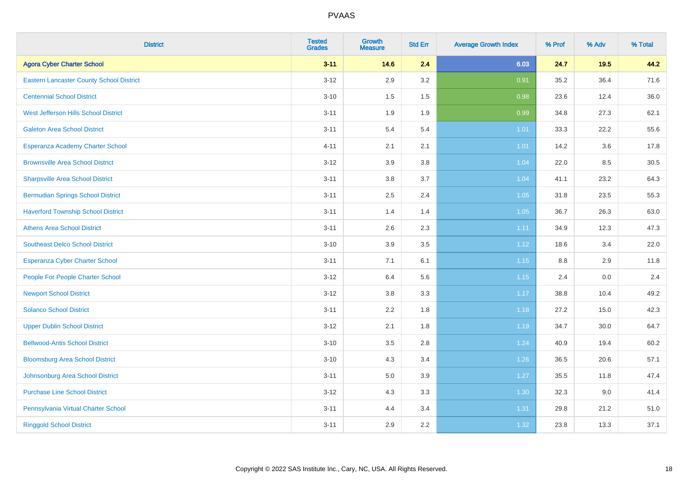| <b>District</b>                                 | <b>Tested</b><br><b>Grades</b> | <b>Growth</b><br><b>Measure</b> | <b>Std Err</b> | <b>Average Growth Index</b> | % Prof  | % Adv | % Total |
|-------------------------------------------------|--------------------------------|---------------------------------|----------------|-----------------------------|---------|-------|---------|
| <b>Agora Cyber Charter School</b>               | $3 - 11$                       | 14.6                            | 2.4            | 6.03                        | 24.7    | 19.5  | 44.2    |
| <b>Eastern Lancaster County School District</b> | $3 - 12$                       | 2.9                             | 3.2            | 0.91                        | 35.2    | 36.4  | 71.6    |
| <b>Centennial School District</b>               | $3 - 10$                       | 1.5                             | 1.5            | 0.98                        | 23.6    | 12.4  | 36.0    |
| West Jefferson Hills School District            | $3 - 11$                       | 1.9                             | 1.9            | 0.99                        | 34.8    | 27.3  | 62.1    |
| <b>Galeton Area School District</b>             | $3 - 11$                       | 5.4                             | 5.4            | 1.01                        | 33.3    | 22.2  | 55.6    |
| Esperanza Academy Charter School                | $4 - 11$                       | 2.1                             | 2.1            | 1.01                        | 14.2    | 3.6   | 17.8    |
| <b>Brownsville Area School District</b>         | $3 - 12$                       | 3.9                             | 3.8            | 1.04                        | 22.0    | 8.5   | 30.5    |
| <b>Sharpsville Area School District</b>         | $3 - 11$                       | 3.8                             | 3.7            | 1.04                        | 41.1    | 23.2  | 64.3    |
| <b>Bermudian Springs School District</b>        | $3 - 11$                       | 2.5                             | 2.4            | 1.05                        | 31.8    | 23.5  | 55.3    |
| <b>Haverford Township School District</b>       | $3 - 11$                       | 1.4                             | 1.4            | 1.05                        | 36.7    | 26.3  | 63.0    |
| <b>Athens Area School District</b>              | $3 - 11$                       | 2.6                             | 2.3            | 1.11                        | 34.9    | 12.3  | 47.3    |
| <b>Southeast Delco School District</b>          | $3 - 10$                       | 3.9                             | 3.5            | 1.12                        | 18.6    | 3.4   | 22.0    |
| <b>Esperanza Cyber Charter School</b>           | $3 - 11$                       | 7.1                             | 6.1            | 1.15                        | $8.8\,$ | 2.9   | 11.8    |
| People For People Charter School                | $3 - 12$                       | 6.4                             | 5.6            | 1.15                        | 2.4     | 0.0   | 2.4     |
| <b>Newport School District</b>                  | $3-12$                         | $3.8\,$                         | 3.3            | 1.17                        | 38.8    | 10.4  | 49.2    |
| <b>Solanco School District</b>                  | $3 - 11$                       | 2.2                             | 1.8            | 1.18                        | 27.2    | 15.0  | 42.3    |
| <b>Upper Dublin School District</b>             | $3 - 12$                       | 2.1                             | 1.8            | 1.19                        | 34.7    | 30.0  | 64.7    |
| <b>Bellwood-Antis School District</b>           | $3 - 10$                       | 3.5                             | 2.8            | 1.24                        | 40.9    | 19.4  | 60.2    |
| <b>Bloomsburg Area School District</b>          | $3 - 10$                       | 4.3                             | 3.4            | 1.26                        | 36.5    | 20.6  | 57.1    |
| Johnsonburg Area School District                | $3 - 11$                       | 5.0                             | 3.9            | 1.27                        | 35.5    | 11.8  | 47.4    |
| <b>Purchase Line School District</b>            | $3 - 12$                       | 4.3                             | 3.3            | 1.30                        | 32.3    | 9.0   | 41.4    |
| Pennsylvania Virtual Charter School             | $3 - 11$                       | 4.4                             | 3.4            | 1.31                        | 29.8    | 21.2  | 51.0    |
| <b>Ringgold School District</b>                 | $3 - 11$                       | 2.9                             | 2.2            | 1.32                        | 23.8    | 13.3  | 37.1    |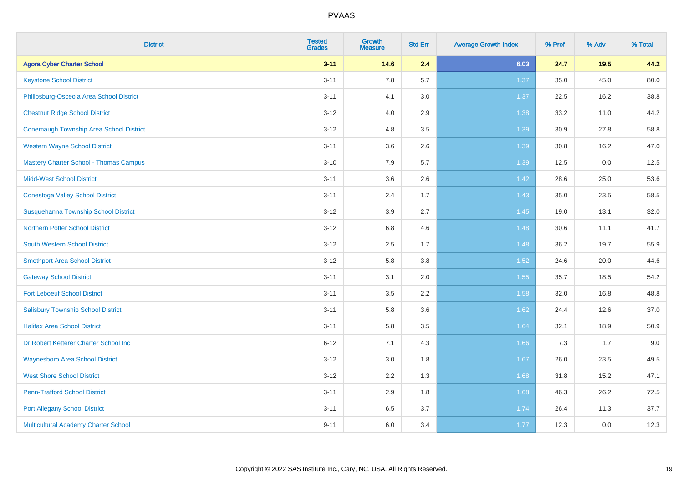| <b>District</b>                                | <b>Tested</b><br><b>Grades</b> | <b>Growth</b><br><b>Measure</b> | <b>Std Err</b> | <b>Average Growth Index</b> | % Prof | % Adv | % Total |
|------------------------------------------------|--------------------------------|---------------------------------|----------------|-----------------------------|--------|-------|---------|
| <b>Agora Cyber Charter School</b>              | $3 - 11$                       | 14.6                            | 2.4            | 6.03                        | 24.7   | 19.5  | 44.2    |
| <b>Keystone School District</b>                | $3 - 11$                       | 7.8                             | 5.7            | 1.37                        | 35.0   | 45.0  | 80.0    |
| Philipsburg-Osceola Area School District       | $3 - 11$                       | 4.1                             | 3.0            | 1.37                        | 22.5   | 16.2  | 38.8    |
| <b>Chestnut Ridge School District</b>          | $3 - 12$                       | 4.0                             | 2.9            | 1.38                        | 33.2   | 11.0  | 44.2    |
| <b>Conemaugh Township Area School District</b> | $3 - 12$                       | 4.8                             | 3.5            | 1.39                        | 30.9   | 27.8  | 58.8    |
| <b>Western Wayne School District</b>           | $3 - 11$                       | 3.6                             | 2.6            | 1.39                        | 30.8   | 16.2  | 47.0    |
| <b>Mastery Charter School - Thomas Campus</b>  | $3 - 10$                       | 7.9                             | 5.7            | 1.39                        | 12.5   | 0.0   | 12.5    |
| <b>Midd-West School District</b>               | $3 - 11$                       | 3.6                             | 2.6            | 1.42                        | 28.6   | 25.0  | 53.6    |
| <b>Conestoga Valley School District</b>        | $3 - 11$                       | 2.4                             | 1.7            | 1.43                        | 35.0   | 23.5  | 58.5    |
| Susquehanna Township School District           | $3 - 12$                       | 3.9                             | 2.7            | 1.45                        | 19.0   | 13.1  | 32.0    |
| <b>Northern Potter School District</b>         | $3 - 12$                       | $6.8\,$                         | 4.6            | 1.48                        | 30.6   | 11.1  | 41.7    |
| South Western School District                  | $3 - 12$                       | 2.5                             | 1.7            | 1.48                        | 36.2   | 19.7  | 55.9    |
| <b>Smethport Area School District</b>          | $3 - 12$                       | 5.8                             | 3.8            | 1.52                        | 24.6   | 20.0  | 44.6    |
| <b>Gateway School District</b>                 | $3 - 11$                       | 3.1                             | 2.0            | 1.55                        | 35.7   | 18.5  | 54.2    |
| <b>Fort Leboeuf School District</b>            | $3 - 11$                       | 3.5                             | 2.2            | 1.58                        | 32.0   | 16.8  | 48.8    |
| <b>Salisbury Township School District</b>      | $3 - 11$                       | 5.8                             | 3.6            | 1.62                        | 24.4   | 12.6  | 37.0    |
| <b>Halifax Area School District</b>            | $3 - 11$                       | 5.8                             | 3.5            | 1.64                        | 32.1   | 18.9  | 50.9    |
| Dr Robert Ketterer Charter School Inc          | $6 - 12$                       | 7.1                             | 4.3            | 1.66                        | 7.3    | 1.7   | 9.0     |
| <b>Waynesboro Area School District</b>         | $3 - 12$                       | 3.0                             | 1.8            | 1.67                        | 26.0   | 23.5  | 49.5    |
| <b>West Shore School District</b>              | $3 - 12$                       | 2.2                             | 1.3            | 1.68                        | 31.8   | 15.2  | 47.1    |
| <b>Penn-Trafford School District</b>           | $3 - 11$                       | 2.9                             | 1.8            | 1.68                        | 46.3   | 26.2  | 72.5    |
| <b>Port Allegany School District</b>           | $3 - 11$                       | 6.5                             | 3.7            | 1.74                        | 26.4   | 11.3  | 37.7    |
| Multicultural Academy Charter School           | $9 - 11$                       | 6.0                             | 3.4            | 1.77                        | 12.3   | 0.0   | 12.3    |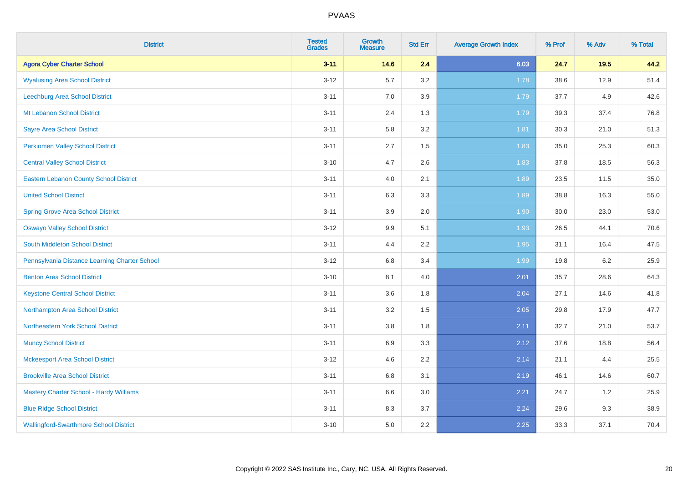| <b>District</b>                               | <b>Tested</b><br><b>Grades</b> | <b>Growth</b><br><b>Measure</b> | <b>Std Err</b> | <b>Average Growth Index</b> | % Prof | % Adv   | % Total |
|-----------------------------------------------|--------------------------------|---------------------------------|----------------|-----------------------------|--------|---------|---------|
| <b>Agora Cyber Charter School</b>             | $3 - 11$                       | 14.6                            | 2.4            | 6.03                        | 24.7   | 19.5    | 44.2    |
| <b>Wyalusing Area School District</b>         | $3 - 12$                       | 5.7                             | 3.2            | 1.78                        | 38.6   | 12.9    | 51.4    |
| Leechburg Area School District                | $3 - 11$                       | 7.0                             | 3.9            | 1.79                        | 37.7   | 4.9     | 42.6    |
| Mt Lebanon School District                    | $3 - 11$                       | 2.4                             | 1.3            | 1.79                        | 39.3   | 37.4    | 76.8    |
| <b>Sayre Area School District</b>             | $3 - 11$                       | 5.8                             | 3.2            | 1.81                        | 30.3   | 21.0    | 51.3    |
| <b>Perkiomen Valley School District</b>       | $3 - 11$                       | 2.7                             | 1.5            | 1.83                        | 35.0   | 25.3    | 60.3    |
| <b>Central Valley School District</b>         | $3 - 10$                       | 4.7                             | 2.6            | 1.83                        | 37.8   | 18.5    | 56.3    |
| <b>Eastern Lebanon County School District</b> | $3 - 11$                       | 4.0                             | 2.1            | 1.89                        | 23.5   | 11.5    | 35.0    |
| <b>United School District</b>                 | $3 - 11$                       | 6.3                             | 3.3            | 1.89                        | 38.8   | 16.3    | 55.0    |
| <b>Spring Grove Area School District</b>      | $3 - 11$                       | 3.9                             | 2.0            | 1.90                        | 30.0   | 23.0    | 53.0    |
| <b>Oswayo Valley School District</b>          | $3 - 12$                       | 9.9                             | 5.1            | 1.93                        | 26.5   | 44.1    | 70.6    |
| South Middleton School District               | $3 - 11$                       | 4.4                             | 2.2            | 1.95                        | 31.1   | 16.4    | 47.5    |
| Pennsylvania Distance Learning Charter School | $3 - 12$                       | 6.8                             | 3.4            | 1.99                        | 19.8   | $6.2\,$ | 25.9    |
| <b>Benton Area School District</b>            | $3 - 10$                       | 8.1                             | 4.0            | 2.01                        | 35.7   | 28.6    | 64.3    |
| <b>Keystone Central School District</b>       | $3 - 11$                       | 3.6                             | 1.8            | 2.04                        | 27.1   | 14.6    | 41.8    |
| Northampton Area School District              | $3 - 11$                       | 3.2                             | 1.5            | 2.05                        | 29.8   | 17.9    | 47.7    |
| Northeastern York School District             | $3 - 11$                       | 3.8                             | 1.8            | 2.11                        | 32.7   | 21.0    | 53.7    |
| <b>Muncy School District</b>                  | $3 - 11$                       | 6.9                             | 3.3            | 2.12                        | 37.6   | 18.8    | 56.4    |
| <b>Mckeesport Area School District</b>        | $3 - 12$                       | 4.6                             | 2.2            | 2.14                        | 21.1   | 4.4     | 25.5    |
| <b>Brookville Area School District</b>        | $3 - 11$                       | 6.8                             | 3.1            | 2.19                        | 46.1   | 14.6    | 60.7    |
| Mastery Charter School - Hardy Williams       | $3 - 11$                       | 6.6                             | 3.0            | 2.21                        | 24.7   | 1.2     | 25.9    |
| <b>Blue Ridge School District</b>             | $3 - 11$                       | 8.3                             | 3.7            | 2.24                        | 29.6   | 9.3     | 38.9    |
| <b>Wallingford-Swarthmore School District</b> | $3 - 10$                       | 5.0                             | 2.2            | 2.25                        | 33.3   | 37.1    | 70.4    |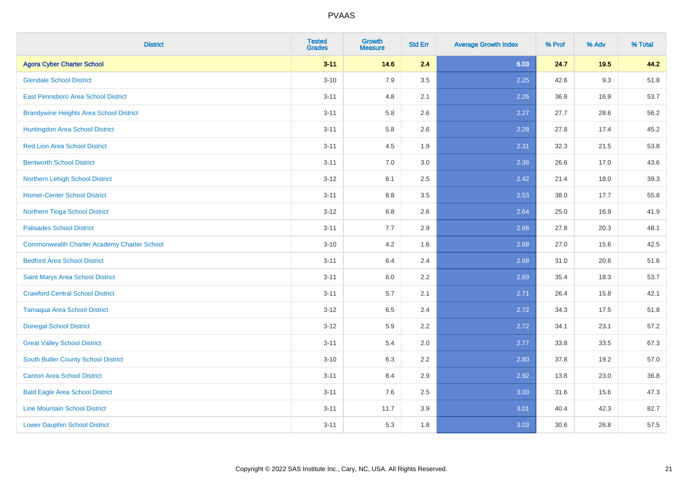| <b>District</b>                                    | <b>Tested</b><br><b>Grades</b> | <b>Growth</b><br><b>Measure</b> | <b>Std Err</b> | <b>Average Growth Index</b> | % Prof | % Adv | % Total |
|----------------------------------------------------|--------------------------------|---------------------------------|----------------|-----------------------------|--------|-------|---------|
| <b>Agora Cyber Charter School</b>                  | $3 - 11$                       | 14.6                            | 2.4            | 6.03                        | 24.7   | 19.5  | 44.2    |
| <b>Glendale School District</b>                    | $3 - 10$                       | 7.9                             | 3.5            | 2.25                        | 42.6   | 9.3   | 51.8    |
| <b>East Pennsboro Area School District</b>         | $3 - 11$                       | 4.8                             | 2.1            | 2.26                        | 36.8   | 16.9  | 53.7    |
| <b>Brandywine Heights Area School District</b>     | $3 - 11$                       | 5.8                             | 2.6            | 2.27                        | 27.7   | 28.6  | 56.2    |
| Huntingdon Area School District                    | $3 - 11$                       | 5.8                             | 2.6            | 2.28                        | 27.8   | 17.4  | 45.2    |
| <b>Red Lion Area School District</b>               | $3 - 11$                       | 4.5                             | 1.9            | 2.31                        | 32.3   | 21.5  | 53.8    |
| <b>Bentworth School District</b>                   | $3 - 11$                       | 7.0                             | 3.0            | 2.36                        | 26.6   | 17.0  | 43.6    |
| Northern Lehigh School District                    | $3 - 12$                       | 6.1                             | 2.5            | 2.42                        | 21.4   | 18.0  | 39.3    |
| <b>Homer-Center School District</b>                | $3 - 11$                       | 8.8                             | 3.5            | 2.53                        | 38.0   | 17.7  | 55.8    |
| Northern Tioga School District                     | $3 - 12$                       | 6.8                             | 2.6            | 2.64                        | 25.0   | 16.9  | 41.9    |
| <b>Palisades School District</b>                   | $3 - 11$                       | 7.7                             | 2.9            | 2.66                        | 27.8   | 20.3  | 48.1    |
| <b>Commonwealth Charter Academy Charter School</b> | $3 - 10$                       | 4.2                             | 1.6            | 2.68                        | 27.0   | 15.6  | 42.5    |
| <b>Bedford Area School District</b>                | $3 - 11$                       | 6.4                             | 2.4            | 2.68                        | 31.0   | 20.6  | 51.6    |
| Saint Marys Area School District                   | $3 - 11$                       | 6.0                             | 2.2            | 2.69                        | 35.4   | 18.3  | 53.7    |
| <b>Crawford Central School District</b>            | $3 - 11$                       | 5.7                             | 2.1            | 2.71                        | 26.4   | 15.8  | 42.1    |
| <b>Tamaqua Area School District</b>                | $3-12$                         | 6.5                             | 2.4            | 2.72                        | 34.3   | 17.5  | 51.8    |
| <b>Donegal School District</b>                     | $3-12$                         | 5.9                             | 2.2            | 2.72                        | 34.1   | 23.1  | 57.2    |
| <b>Great Valley School District</b>                | $3 - 11$                       | 5.4                             | 2.0            | 2.77                        | 33.8   | 33.5  | 67.3    |
| South Butler County School District                | $3 - 10$                       | 6.3                             | 2.2            | 2.80                        | 37.8   | 19.2  | 57.0    |
| <b>Canton Area School District</b>                 | $3 - 11$                       | 8.4                             | 2.9            | 2.92                        | 13.8   | 23.0  | 36.8    |
| <b>Bald Eagle Area School District</b>             | $3 - 11$                       | 7.6                             | 2.5            | 3.00                        | 31.6   | 15.6  | 47.3    |
| <b>Line Mountain School District</b>               | $3 - 11$                       | 11.7                            | 3.9            | 3.01                        | 40.4   | 42.3  | 82.7    |
| <b>Lower Dauphin School District</b>               | $3 - 11$                       | 5.3                             | 1.8            | 3.03                        | 30.6   | 26.8  | 57.5    |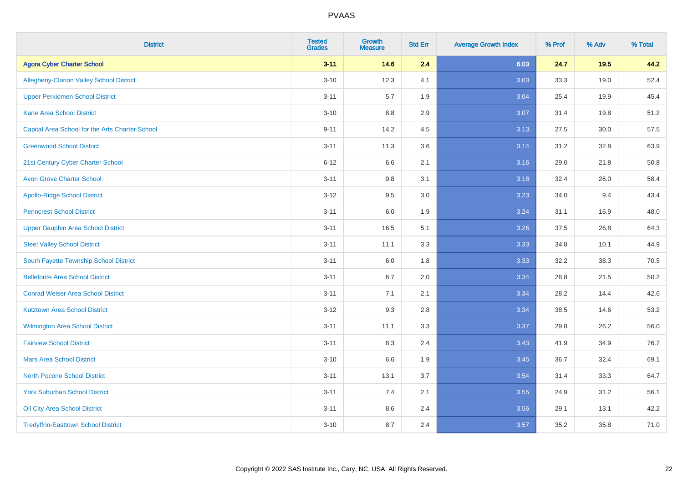| <b>District</b>                                 | <b>Tested</b><br><b>Grades</b> | <b>Growth</b><br><b>Measure</b> | <b>Std Err</b> | <b>Average Growth Index</b> | % Prof | % Adv | % Total |
|-------------------------------------------------|--------------------------------|---------------------------------|----------------|-----------------------------|--------|-------|---------|
| <b>Agora Cyber Charter School</b>               | $3 - 11$                       | 14.6                            | 2.4            | 6.03                        | 24.7   | 19.5  | 44.2    |
| <b>Allegheny-Clarion Valley School District</b> | $3 - 10$                       | 12.3                            | 4.1            | 3.03                        | 33.3   | 19.0  | 52.4    |
| <b>Upper Perkiomen School District</b>          | $3 - 11$                       | 5.7                             | 1.9            | 3.04                        | 25.4   | 19.9  | 45.4    |
| <b>Kane Area School District</b>                | $3 - 10$                       | 8.8                             | 2.9            | 3.07                        | 31.4   | 19.8  | 51.2    |
| Capital Area School for the Arts Charter School | $9 - 11$                       | 14.2                            | 4.5            | 3.13                        | 27.5   | 30.0  | 57.5    |
| <b>Greenwood School District</b>                | $3 - 11$                       | 11.3                            | 3.6            | 3.14                        | 31.2   | 32.8  | 63.9    |
| 21st Century Cyber Charter School               | $6 - 12$                       | 6.6                             | 2.1            | 3.16                        | 29.0   | 21.8  | 50.8    |
| <b>Avon Grove Charter School</b>                | $3 - 11$                       | 9.8                             | 3.1            | 3.18                        | 32.4   | 26.0  | 58.4    |
| <b>Apollo-Ridge School District</b>             | $3 - 12$                       | 9.5                             | 3.0            | 3.23                        | 34.0   | 9.4   | 43.4    |
| <b>Penncrest School District</b>                | $3 - 11$                       | 6.0                             | 1.9            | 3.24                        | 31.1   | 16.9  | 48.0    |
| <b>Upper Dauphin Area School District</b>       | $3 - 11$                       | 16.5                            | 5.1            | 3.26                        | 37.5   | 26.8  | 64.3    |
| <b>Steel Valley School District</b>             | $3 - 11$                       | 11.1                            | 3.3            | 3.33                        | 34.8   | 10.1  | 44.9    |
| South Fayette Township School District          | $3 - 11$                       | 6.0                             | 1.8            | 3.33                        | 32.2   | 38.3  | 70.5    |
| <b>Bellefonte Area School District</b>          | $3 - 11$                       | $6.7\,$                         | 2.0            | 3.34                        | 28.8   | 21.5  | 50.2    |
| <b>Conrad Weiser Area School District</b>       | $3 - 11$                       | 7.1                             | 2.1            | 3.34                        | 28.2   | 14.4  | 42.6    |
| <b>Kutztown Area School District</b>            | $3 - 12$                       | 9.3                             | 2.8            | 3.34                        | 38.5   | 14.6  | 53.2    |
| Wilmington Area School District                 | $3 - 11$                       | 11.1                            | 3.3            | 3.37                        | 29.8   | 26.2  | 56.0    |
| <b>Fairview School District</b>                 | $3 - 11$                       | 8.3                             | 2.4            | 3.43                        | 41.9   | 34.9  | 76.7    |
| <b>Mars Area School District</b>                | $3 - 10$                       | 6.6                             | 1.9            | 3.45                        | 36.7   | 32.4  | 69.1    |
| <b>North Pocono School District</b>             | $3 - 11$                       | 13.1                            | 3.7            | 3.54                        | 31.4   | 33.3  | 64.7    |
| <b>York Suburban School District</b>            | $3 - 11$                       | 7.4                             | 2.1            | 3.55                        | 24.9   | 31.2  | 56.1    |
| Oil City Area School District                   | $3 - 11$                       | 8.6                             | 2.4            | 3.56                        | 29.1   | 13.1  | 42.2    |
| <b>Tredyffrin-Easttown School District</b>      | $3 - 10$                       | 8.7                             | 2.4            | 3.57                        | 35.2   | 35.8  | 71.0    |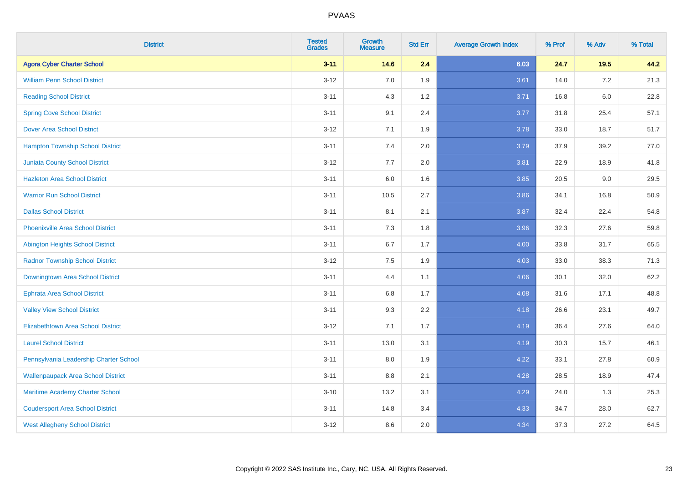| <b>District</b>                           | <b>Tested</b><br><b>Grades</b> | <b>Growth</b><br><b>Measure</b> | <b>Std Err</b> | <b>Average Growth Index</b> | % Prof | % Adv   | % Total |
|-------------------------------------------|--------------------------------|---------------------------------|----------------|-----------------------------|--------|---------|---------|
| <b>Agora Cyber Charter School</b>         | $3 - 11$                       | 14.6                            | 2.4            | 6.03                        | 24.7   | 19.5    | 44.2    |
| <b>William Penn School District</b>       | $3 - 12$                       | 7.0                             | 1.9            | 3.61                        | 14.0   | $7.2\,$ | 21.3    |
| <b>Reading School District</b>            | $3 - 11$                       | 4.3                             | 1.2            | 3.71                        | 16.8   | $6.0\,$ | 22.8    |
| <b>Spring Cove School District</b>        | $3 - 11$                       | 9.1                             | 2.4            | 3.77                        | 31.8   | 25.4    | 57.1    |
| <b>Dover Area School District</b>         | $3 - 12$                       | 7.1                             | 1.9            | 3.78                        | 33.0   | 18.7    | 51.7    |
| <b>Hampton Township School District</b>   | $3 - 11$                       | 7.4                             | 2.0            | 3.79                        | 37.9   | 39.2    | 77.0    |
| <b>Juniata County School District</b>     | $3-12$                         | 7.7                             | 2.0            | 3.81                        | 22.9   | 18.9    | 41.8    |
| <b>Hazleton Area School District</b>      | $3 - 11$                       | 6.0                             | 1.6            | 3.85                        | 20.5   | 9.0     | 29.5    |
| <b>Warrior Run School District</b>        | $3 - 11$                       | 10.5                            | 2.7            | 3.86                        | 34.1   | 16.8    | 50.9    |
| <b>Dallas School District</b>             | $3 - 11$                       | 8.1                             | 2.1            | 3.87                        | 32.4   | 22.4    | 54.8    |
| <b>Phoenixville Area School District</b>  | $3 - 11$                       | 7.3                             | 1.8            | 3.96                        | 32.3   | 27.6    | 59.8    |
| Abington Heights School District          | $3 - 11$                       | 6.7                             | 1.7            | 4.00                        | 33.8   | 31.7    | 65.5    |
| <b>Radnor Township School District</b>    | $3 - 12$                       | $7.5\,$                         | 1.9            | 4.03                        | 33.0   | 38.3    | 71.3    |
| Downingtown Area School District          | $3 - 11$                       | 4.4                             | 1.1            | 4.06                        | 30.1   | 32.0    | 62.2    |
| <b>Ephrata Area School District</b>       | $3 - 11$                       | 6.8                             | 1.7            | 4.08                        | 31.6   | 17.1    | 48.8    |
| <b>Valley View School District</b>        | $3 - 11$                       | 9.3                             | 2.2            | 4.18                        | 26.6   | 23.1    | 49.7    |
| <b>Elizabethtown Area School District</b> | $3-12$                         | 7.1                             | 1.7            | 4.19                        | 36.4   | 27.6    | 64.0    |
| <b>Laurel School District</b>             | $3 - 11$                       | 13.0                            | 3.1            | 4.19                        | 30.3   | 15.7    | 46.1    |
| Pennsylvania Leadership Charter School    | $3 - 11$                       | 8.0                             | 1.9            | 4.22                        | 33.1   | 27.8    | 60.9    |
| <b>Wallenpaupack Area School District</b> | $3 - 11$                       | 8.8                             | 2.1            | 4.28                        | 28.5   | 18.9    | 47.4    |
| Maritime Academy Charter School           | $3 - 10$                       | 13.2                            | 3.1            | 4.29                        | 24.0   | 1.3     | 25.3    |
| <b>Coudersport Area School District</b>   | $3 - 11$                       | 14.8                            | 3.4            | 4.33                        | 34.7   | 28.0    | 62.7    |
| <b>West Allegheny School District</b>     | $3-12$                         | 8.6                             | 2.0            | 4.34                        | 37.3   | 27.2    | 64.5    |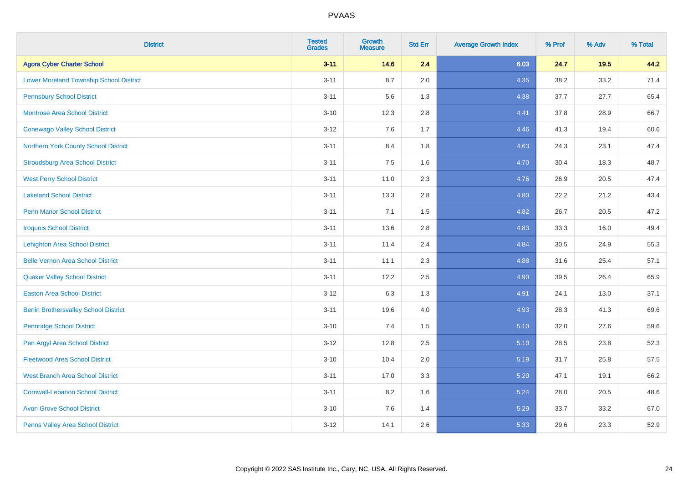| <b>District</b>                                | <b>Tested</b><br><b>Grades</b> | <b>Growth</b><br><b>Measure</b> | <b>Std Err</b> | <b>Average Growth Index</b> | % Prof | % Adv | % Total |
|------------------------------------------------|--------------------------------|---------------------------------|----------------|-----------------------------|--------|-------|---------|
| <b>Agora Cyber Charter School</b>              | $3 - 11$                       | 14.6                            | 2.4            | 6.03                        | 24.7   | 19.5  | 44.2    |
| <b>Lower Moreland Township School District</b> | $3 - 11$                       | 8.7                             | 2.0            | 4.35                        | 38.2   | 33.2  | 71.4    |
| <b>Pennsbury School District</b>               | $3 - 11$                       | 5.6                             | 1.3            | 4.38                        | 37.7   | 27.7  | 65.4    |
| <b>Montrose Area School District</b>           | $3 - 10$                       | 12.3                            | 2.8            | 4.41                        | 37.8   | 28.9  | 66.7    |
| <b>Conewago Valley School District</b>         | $3 - 12$                       | 7.6                             | 1.7            | 4.46                        | 41.3   | 19.4  | 60.6    |
| Northern York County School District           | $3 - 11$                       | 8.4                             | 1.8            | 4.63                        | 24.3   | 23.1  | 47.4    |
| <b>Stroudsburg Area School District</b>        | $3 - 11$                       | $7.5\,$                         | 1.6            | 4.70                        | 30.4   | 18.3  | 48.7    |
| <b>West Perry School District</b>              | $3 - 11$                       | 11.0                            | 2.3            | 4.76                        | 26.9   | 20.5  | 47.4    |
| <b>Lakeland School District</b>                | $3 - 11$                       | 13.3                            | 2.8            | 4.80                        | 22.2   | 21.2  | 43.4    |
| <b>Penn Manor School District</b>              | $3 - 11$                       | 7.1                             | 1.5            | 4.82                        | 26.7   | 20.5  | 47.2    |
| <b>Iroquois School District</b>                | $3 - 11$                       | 13.6                            | 2.8            | 4.83                        | 33.3   | 16.0  | 49.4    |
| Lehighton Area School District                 | $3 - 11$                       | 11.4                            | 2.4            | 4.84                        | 30.5   | 24.9  | 55.3    |
| <b>Belle Vernon Area School District</b>       | $3 - 11$                       | 11.1                            | 2.3            | 4.88                        | 31.6   | 25.4  | 57.1    |
| <b>Quaker Valley School District</b>           | $3 - 11$                       | 12.2                            | 2.5            | 4.90                        | 39.5   | 26.4  | 65.9    |
| <b>Easton Area School District</b>             | $3-12$                         | 6.3                             | 1.3            | 4.91                        | 24.1   | 13.0  | 37.1    |
| <b>Berlin Brothersvalley School District</b>   | $3 - 11$                       | 19.6                            | 4.0            | 4.93                        | 28.3   | 41.3  | 69.6    |
| <b>Pennridge School District</b>               | $3 - 10$                       | 7.4                             | 1.5            | 5.10                        | 32.0   | 27.6  | 59.6    |
| Pen Argyl Area School District                 | $3-12$                         | 12.8                            | 2.5            | 5.10                        | 28.5   | 23.8  | 52.3    |
| <b>Fleetwood Area School District</b>          | $3 - 10$                       | 10.4                            | 2.0            | 5.19                        | 31.7   | 25.8  | 57.5    |
| <b>West Branch Area School District</b>        | $3 - 11$                       | 17.0                            | 3.3            | 5.20                        | 47.1   | 19.1  | 66.2    |
| <b>Cornwall-Lebanon School District</b>        | $3 - 11$                       | 8.2                             | 1.6            | 5.24                        | 28.0   | 20.5  | 48.6    |
| <b>Avon Grove School District</b>              | $3 - 10$                       | 7.6                             | 1.4            | 5.29                        | 33.7   | 33.2  | 67.0    |
| Penns Valley Area School District              | $3-12$                         | 14.1                            | 2.6            | 5.33                        | 29.6   | 23.3  | 52.9    |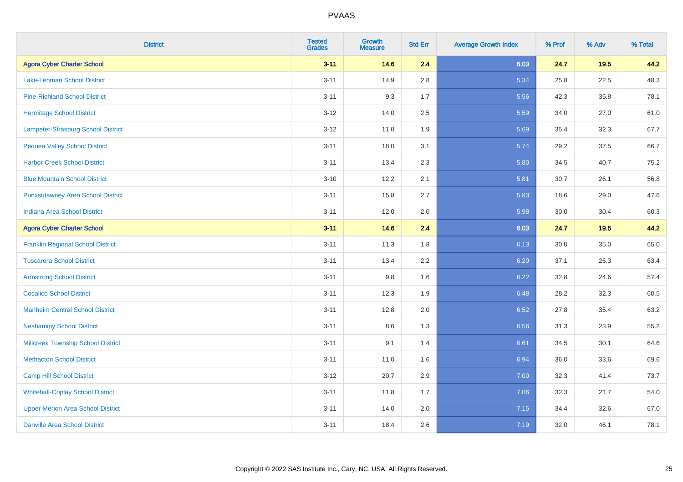| <b>District</b>                           | <b>Tested</b><br><b>Grades</b> | <b>Growth</b><br><b>Measure</b> | <b>Std Err</b> | <b>Average Growth Index</b> | % Prof | % Adv | % Total |
|-------------------------------------------|--------------------------------|---------------------------------|----------------|-----------------------------|--------|-------|---------|
| <b>Agora Cyber Charter School</b>         | $3 - 11$                       | 14.6                            | 2.4            | 6.03                        | 24.7   | 19.5  | 44.2    |
| Lake-Lehman School District               | $3 - 11$                       | 14.9                            | 2.8            | 5.34                        | 25.8   | 22.5  | 48.3    |
| <b>Pine-Richland School District</b>      | $3 - 11$                       | 9.3                             | 1.7            | 5.56                        | 42.3   | 35.8  | 78.1    |
| <b>Hermitage School District</b>          | $3 - 12$                       | 14.0                            | 2.5            | 5.59                        | 34.0   | 27.0  | 61.0    |
| Lampeter-Strasburg School District        | $3-12$                         | 11.0                            | 1.9            | 5.69                        | 35.4   | 32.3  | 67.7    |
| <b>Pequea Valley School District</b>      | $3 - 11$                       | 18.0                            | 3.1            | 5.74                        | 29.2   | 37.5  | 66.7    |
| <b>Harbor Creek School District</b>       | $3 - 11$                       | 13.4                            | 2.3            | 5.80                        | 34.5   | 40.7  | 75.2    |
| <b>Blue Mountain School District</b>      | $3 - 10$                       | 12.2                            | 2.1            | 5.81                        | 30.7   | 26.1  | 56.8    |
| <b>Punxsutawney Area School District</b>  | $3 - 11$                       | 15.8                            | 2.7            | 5.83                        | 18.6   | 29.0  | 47.6    |
| <b>Indiana Area School District</b>       | $3 - 11$                       | 12.0                            | 2.0            | 5.98                        | 30.0   | 30.4  | 60.3    |
| <b>Agora Cyber Charter School</b>         | $3 - 11$                       | 14.6                            | 2.4            | 6.03                        | 24.7   | 19.5  | 44.2    |
| <b>Franklin Regional School District</b>  | $3 - 11$                       | 11.3                            | 1.8            | 6.13                        | 30.0   | 35.0  | 65.0    |
| <b>Tuscarora School District</b>          | $3 - 11$                       | 13.4                            | 2.2            | 6.20                        | 37.1   | 26.3  | 63.4    |
| <b>Armstrong School District</b>          | $3 - 11$                       | 9.8                             | 1.6            | 6.22                        | 32.8   | 24.6  | 57.4    |
| <b>Cocalico School District</b>           | $3 - 11$                       | 12.3                            | 1.9            | 6.48                        | 28.2   | 32.3  | 60.5    |
| <b>Manheim Central School District</b>    | $3 - 11$                       | 12.8                            | 2.0            | 6.52                        | 27.8   | 35.4  | 63.2    |
| <b>Neshaminy School District</b>          | $3 - 11$                       | 8.6                             | 1.3            | 6.56                        | 31.3   | 23.9  | 55.2    |
| <b>Millcreek Township School District</b> | $3 - 11$                       | 9.1                             | 1.4            | 6.61                        | 34.5   | 30.1  | 64.6    |
| <b>Methacton School District</b>          | $3 - 11$                       | 11.0                            | 1.6            | 6.94                        | 36.0   | 33.6  | 69.6    |
| <b>Camp Hill School District</b>          | $3-12$                         | 20.7                            | 2.9            | 7.00                        | 32.3   | 41.4  | 73.7    |
| <b>Whitehall-Coplay School District</b>   | $3 - 11$                       | 11.8                            | 1.7            | 7.06                        | 32.3   | 21.7  | 54.0    |
| <b>Upper Merion Area School District</b>  | $3 - 11$                       | 14.0                            | 2.0            | 7.15                        | 34.4   | 32.6  | 67.0    |
| <b>Danville Area School District</b>      | $3 - 11$                       | 18.4                            | 2.6            | 7.19                        | 32.0   | 46.1  | 78.1    |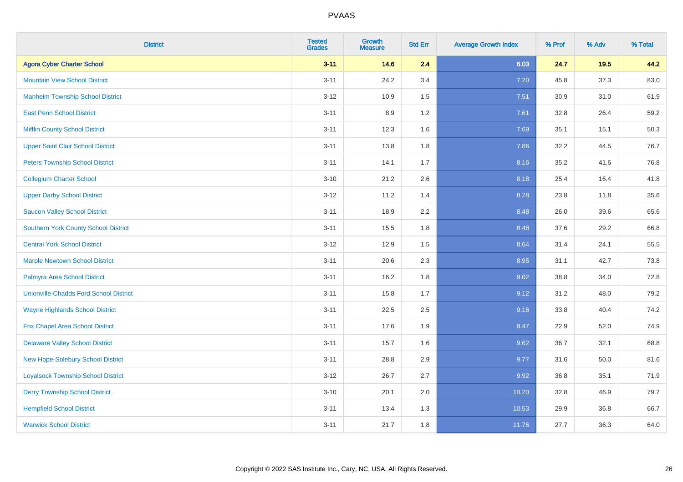| <b>District</b>                               | <b>Tested</b><br><b>Grades</b> | <b>Growth</b><br><b>Measure</b> | <b>Std Err</b> | <b>Average Growth Index</b> | % Prof | % Adv | % Total |
|-----------------------------------------------|--------------------------------|---------------------------------|----------------|-----------------------------|--------|-------|---------|
| <b>Agora Cyber Charter School</b>             | $3 - 11$                       | 14.6                            | 2.4            | 6.03                        | 24.7   | 19.5  | 44.2    |
| <b>Mountain View School District</b>          | $3 - 11$                       | 24.2                            | 3.4            | 7.20                        | 45.8   | 37.3  | 83.0    |
| <b>Manheim Township School District</b>       | $3-12$                         | 10.9                            | 1.5            | 7.51                        | 30.9   | 31.0  | 61.9    |
| <b>East Penn School District</b>              | $3 - 11$                       | 8.9                             | 1.2            | 7.61                        | 32.8   | 26.4  | 59.2    |
| <b>Mifflin County School District</b>         | $3 - 11$                       | 12.3                            | 1.6            | 7.69                        | 35.1   | 15.1  | 50.3    |
| <b>Upper Saint Clair School District</b>      | $3 - 11$                       | 13.8                            | 1.8            | 7.86                        | 32.2   | 44.5  | 76.7    |
| <b>Peters Township School District</b>        | $3 - 11$                       | 14.1                            | 1.7            | 8.16                        | 35.2   | 41.6  | 76.8    |
| <b>Collegium Charter School</b>               | $3 - 10$                       | 21.2                            | 2.6            | 8.18                        | 25.4   | 16.4  | 41.8    |
| <b>Upper Darby School District</b>            | $3-12$                         | 11.2                            | 1.4            | 8.28                        | 23.8   | 11.8  | 35.6    |
| <b>Saucon Valley School District</b>          | $3 - 11$                       | 18.9                            | 2.2            | 8.48                        | 26.0   | 39.6  | 65.6    |
| <b>Southern York County School District</b>   | $3 - 11$                       | 15.5                            | 1.8            | 8.48                        | 37.6   | 29.2  | 66.8    |
| <b>Central York School District</b>           | $3-12$                         | 12.9                            | 1.5            | 8.64                        | 31.4   | 24.1  | 55.5    |
| <b>Marple Newtown School District</b>         | $3 - 11$                       | 20.6                            | 2.3            | 8.95                        | 31.1   | 42.7  | 73.8    |
| Palmyra Area School District                  | $3 - 11$                       | 16.2                            | 1.8            | 9.02                        | 38.8   | 34.0  | 72.8    |
| <b>Unionville-Chadds Ford School District</b> | $3 - 11$                       | 15.8                            | 1.7            | 9.12                        | 31.2   | 48.0  | 79.2    |
| <b>Wayne Highlands School District</b>        | $3 - 11$                       | 22.5                            | 2.5            | 9.16                        | 33.8   | 40.4  | 74.2    |
| Fox Chapel Area School District               | $3 - 11$                       | 17.6                            | 1.9            | 9.47                        | 22.9   | 52.0  | 74.9    |
| <b>Delaware Valley School District</b>        | $3 - 11$                       | 15.7                            | 1.6            | 9.62                        | 36.7   | 32.1  | 68.8    |
| <b>New Hope-Solebury School District</b>      | $3 - 11$                       | 28.8                            | 2.9            | 9.77                        | 31.6   | 50.0  | 81.6    |
| <b>Loyalsock Township School District</b>     | $3-12$                         | 26.7                            | 2.7            | 9.92                        | 36.8   | 35.1  | 71.9    |
| <b>Derry Township School District</b>         | $3 - 10$                       | 20.1                            | 2.0            | 10.20                       | 32.8   | 46.9  | 79.7    |
| <b>Hempfield School District</b>              | $3 - 11$                       | 13.4                            | 1.3            | 10.53                       | 29.9   | 36.8  | 66.7    |
| <b>Warwick School District</b>                | $3 - 11$                       | 21.7                            | 1.8            | 11.76                       | 27.7   | 36.3  | 64.0    |